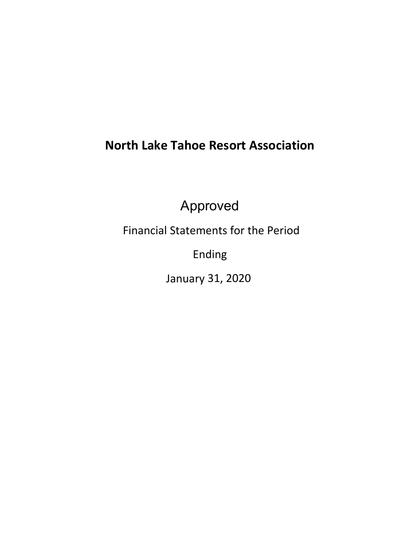# **North Lake Tahoe Resort Association**

Approved

Financial Statements for the Period

Ending

January 31, 2020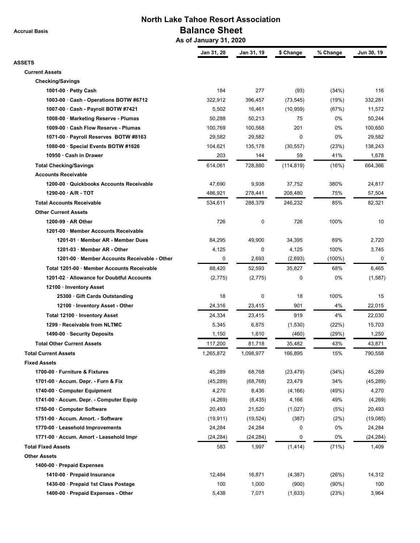**Accrual Basis**

# **North Lake Tahoe Resort Association Balance Sheet**

 **As of January 31, 2020**

|                                              | Jan 31, 20 | Jan 31, 19  | \$ Change   | % Change | Jun 30, 19 |
|----------------------------------------------|------------|-------------|-------------|----------|------------|
| <b>ASSETS</b><br><b>Current Assets</b>       |            |             |             |          |            |
| <b>Checking/Savings</b>                      |            |             |             |          |            |
| 1001-00 $\cdot$ Petty Cash                   | 184        | 277         | (93)        | (34%)    | 116        |
| 1003-00 · Cash - Operations BOTW #6712       | 322,912    | 396,457     | (73, 545)   | (19%)    | 332,281    |
| 1007-00 · Cash - Payroll BOTW #7421          | 5,502      | 16,461      | (10, 959)   | (67%)    | 11,572     |
| 1008-00 · Marketing Reserve - Plumas         | 50,288     | 50,213      | 75          | 0%       | 50,244     |
| 1009-00 · Cash Flow Reserve - Plumas         | 100,769    | 100,568     | 201         | 0%       | 100,650    |
| 1071-00 · Payroll Reserves BOTW #8163        | 29,582     | 29,582      | $\mathbf 0$ | 0%       | 29,582     |
| 1080-00 · Special Events BOTW #1626          | 104,621    | 135,178     | (30, 557)   | (23%)    | 138,243    |
| 10950 · Cash in Drawer                       | 203        | 144         | 59          | 41%      | 1,678      |
| <b>Total Checking/Savings</b>                | 614,061    | 728,880     | (114, 819)  | (16%)    | 664,366    |
| <b>Accounts Receivable</b>                   |            |             |             |          |            |
| 1200-00 Quickbooks Accounts Receivable       | 47,690     | 9,938       | 37,752      | 380%     | 24,817     |
| 1290-00 · A/R - TOT                          | 486,921    | 278,441     | 208,480     | 75%      | 57,504     |
| <b>Total Accounts Receivable</b>             | 534,611    | 288,379     | 246,232     | 85%      | 82,321     |
| <b>Other Current Assets</b>                  |            |             |             |          |            |
| 1200-99 $\cdot$ AR Other                     | 726        | $\mathbf 0$ | 726         | 100%     | 10         |
| 1201-00 · Member Accounts Receivable         |            |             |             |          |            |
| 1201-01 · Member AR - Member Dues            | 84,295     | 49,900      | 34,395      | 69%      | 2,720      |
| 1201-03 · Member AR - Other                  | 4,125      | 0           | 4,125       | 100%     | 3,745      |
| 1201-00 · Member Accounts Receivable - Other | 0          | 2,693       | (2,693)     | (100%)   | 0          |
| Total 1201-00 · Member Accounts Receivable   | 88,420     | 52,593      | 35,827      | 68%      | 6,465      |
| 1201-02 · Allowance for Doubtful Accounts    | (2,775)    | (2,775)     | $\mathbf 0$ | 0%       | (1,587)    |
| 12100 · Inventory Asset                      |            |             |             |          |            |
| 25300 Gift Cards Outstanding                 | 18         | 0           | 18          | 100%     | 15         |
| 12100 · Inventory Asset - Other              | 24,316     | 23,415      | 901         | 4%       | 22,015     |
| Total 12100 · Inventory Asset                | 24,334     | 23,415      | 919         | 4%       | 22,030     |
| 1299 · Receivable from NLTMC                 | 5,345      | 6,875       | (1,530)     | (22%)    | 15,703     |
| 1490-00 · Security Deposits                  | 1,150      | 1,610       | (460)       | (29%)    | 1,250      |
| <b>Total Other Current Assets</b>            | 117,200    | 81,718      | 35,482      | 43%      | 43,871     |
| <b>Total Current Assets</b>                  | 1,265,872  | 1,098,977   | 166,895     | 15%      | 790,558    |
| <b>Fixed Assets</b>                          |            |             |             |          |            |
| 1700-00 · Furniture & Fixtures               | 45,289     | 68,768      | (23, 479)   | (34%)    | 45,289     |
| 1701-00 $\cdot$ Accum. Depr. - Furn & Fix    | (45, 289)  | (68, 768)   | 23,479      | 34%      | (45, 289)  |
| 1740-00 · Computer Equipment                 | 4,270      | 8,436       | (4, 166)    | (49%)    | 4,270      |
| 1741-00 · Accum. Depr. - Computer Equip      | (4,269)    | (8, 435)    | 4,166       | 49%      | (4,269)    |
| 1750-00 · Computer Software                  | 20,493     | 21,520      | (1,027)     | (5%)     | 20,493     |
| 1751-00 · Accum. Amort. - Software           | (19, 911)  | (19, 524)   | (387)       | (2%)     | (19,085)   |
| 1770-00 · Leasehold Improvements             | 24,284     | 24,284      | 0           | 0%       | 24,284     |
| 1771-00 · Accum. Amort - Leasehold Impr      | (24, 284)  | (24, 284)   | 0           | 0%       | (24, 284)  |
| <b>Total Fixed Assets</b>                    | 583        | 1,997       | (1, 414)    | (71%)    | 1,409      |
| <b>Other Assets</b>                          |            |             |             |          |            |
| 1400-00 · Prepaid Expenses                   |            |             |             |          |            |
| 1410-00 · Prepaid Insurance                  | 12,484     | 16,871      | (4, 387)    | (26%)    | 14,312     |
| 1430-00 · Prepaid 1st Class Postage          | 100        | 1,000       | (900)       | $(90\%)$ | 100        |
| 1400-00 · Prepaid Expenses - Other           | 5,438      | 7,071       | (1,633)     | (23%)    | 3,964      |
|                                              |            |             |             |          |            |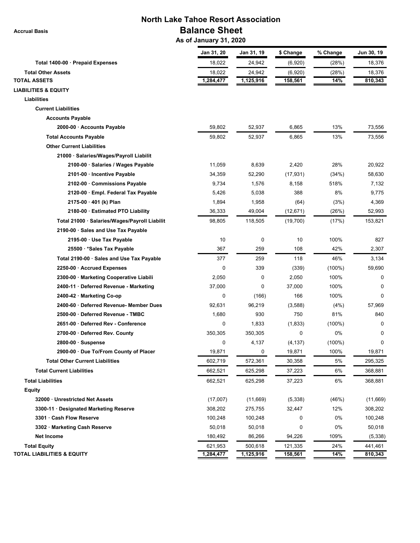**Accrual Basis**

# **North Lake Tahoe Resort Association Balance Sheet**

 **As of January 31, 2020**

|                                               | Jan 31, 20  | Jan 31, 19 | \$ Change | % Change  | Jun 30, 19 |
|-----------------------------------------------|-------------|------------|-----------|-----------|------------|
| Total 1400-00 · Prepaid Expenses              | 18,022      | 24,942     | (6,920)   | (28%)     | 18,376     |
| <b>Total Other Assets</b>                     | 18,022      | 24,942     | (6,920)   | (28%)     | 18,376     |
| <b>TOTAL ASSETS</b>                           | 1,284,477   | 1,125,916  | 158,561   | 14%       | 810,343    |
| <b>LIABILITIES &amp; EQUITY</b>               |             |            |           |           |            |
| Liabilities                                   |             |            |           |           |            |
| <b>Current Liabilities</b>                    |             |            |           |           |            |
| <b>Accounts Payable</b>                       |             |            |           |           |            |
| 2000-00 · Accounts Payable                    | 59,802      | 52,937     | 6,865     | 13%       | 73,556     |
| <b>Total Accounts Payable</b>                 | 59,802      | 52,937     | 6,865     | 13%       | 73,556     |
| <b>Other Current Liabilities</b>              |             |            |           |           |            |
| 21000 · Salaries/Wages/Payroll Liabilit       |             |            |           |           |            |
| 2100-00 · Salaries / Wages Payable            | 11,059      | 8,639      | 2,420     | 28%       | 20,922     |
| 2101-00 · Incentive Payable                   | 34,359      | 52,290     | (17, 931) | (34%)     | 58,630     |
| 2102-00 · Commissions Payable                 | 9,734       | 1,576      | 8,158     | 518%      | 7,132      |
| 2120-00 · Empl. Federal Tax Payable           | 5,426       | 5,038      | 388       | 8%        | 9,775      |
| $2175-00 \cdot 401$ (k) Plan                  | 1,894       | 1,958      | (64)      | (3%)      | 4,369      |
| 2180-00 · Estimated PTO Liability             | 36,333      | 49,004     | (12, 671) | (26%)     | 52,993     |
| Total 21000 · Salaries/Wages/Payroll Liabilit | 98,805      | 118,505    | (19,700)  | (17%)     | 153,821    |
| 2190-00 · Sales and Use Tax Payable           |             |            |           |           |            |
| 2195-00 · Use Tax Payable                     | 10          | 0          | 10        | 100%      | 827        |
| 25500 · * Sales Tax Payable                   | 367         | 259        | 108       | 42%       | 2,307      |
| Total 2190-00 · Sales and Use Tax Payable     | 377         | 259        | 118       | 46%       | 3,134      |
| 2250-00 · Accrued Expenses                    | 0           | 339        | (339)     | $(100\%)$ | 59,690     |
| 2300-00 · Marketing Cooperative Liabili       | 2,050       | 0          | 2,050     | 100%      | 0          |
| 2400-11 · Deferred Revenue - Marketing        | 37,000      | 0          | 37,000    | 100%      | $\Omega$   |
| 2400-42 · Marketing Co-op                     | $\mathbf 0$ | (166)      | 166       | 100%      | $\Omega$   |
| 2400-60 · Deferred Revenue- Member Dues       | 92,631      | 96,219     | (3,588)   | (4%)      | 57,969     |
| 2500-00 · Deferred Revenue - TMBC             | 1,680       | 930        | 750       | 81%       | 840        |
| 2651-00 · Deferred Rev - Conference           | 0           | 1,833      | (1,833)   | $(100\%)$ | 0          |
| 2700-00 · Deferred Rev. County                | 350,305     | 350,305    | 0         | 0%        | 0          |
| $2800-00 \cdot$ Suspense                      | 0           | 4,137      | (4, 137)  | $(100\%)$ | 0          |
| 2900-00 · Due To/From County of Placer        | 19,871      | 0          | 19,871    | 100%      | 19,871     |
| <b>Total Other Current Liabilities</b>        | 602,719     | 572,361    | 30,358    | 5%        | 295,325    |
| <b>Total Current Liabilities</b>              | 662,521     | 625,298    | 37,223    | 6%        | 368,881    |
| <b>Total Liabilities</b>                      | 662,521     | 625,298    | 37,223    | 6%        | 368,881    |
| <b>Equity</b>                                 |             |            |           |           |            |
| 32000 · Unrestricted Net Assets               | (17,007)    | (11,669)   | (5,338)   | (46%)     | (11,669)   |
| 3300-11 · Designated Marketing Reserve        | 308,202     | 275,755    | 32,447    | 12%       | 308,202    |
| 3301 · Cash Flow Reserve                      | 100,248     | 100,248    | 0         | 0%        | 100,248    |
| 3302 · Marketing Cash Reserve                 | 50,018      | 50,018     | 0         | 0%        | 50,018     |
| Net Income                                    | 180,492     | 86,266     | 94,226    | 109%      | (5,338)    |
| <b>Total Equity</b>                           | 621,953     | 500,618    | 121,335   | 24%       | 441,461    |
| <b>TOTAL LIABILITIES &amp; EQUITY</b>         | 1,284,477   | 1,125,916  | 158,561   | 14%       | 810,343    |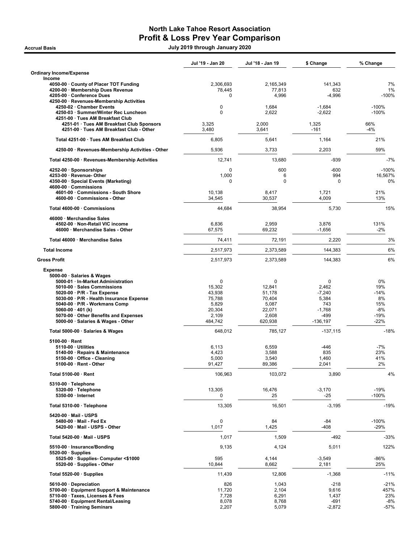## North Lake Tahoe Resort Association Profit & Loss Prev Year Comparison

.<br>2020 July 2019 through January 2020 July 2019 through January 2020

|                                                                           | Jul '19 - Jan 20 | Jul '18 - Jan 19 | \$ Change             | % Change           |
|---------------------------------------------------------------------------|------------------|------------------|-----------------------|--------------------|
| <b>Ordinary Income/Expense</b>                                            |                  |                  |                       |                    |
| Income<br>4050-00 County of Placer TOT Funding                            | 2,306,693        | 2,165,349        | 141,343               | 7%                 |
| 4200-00 · Membership Dues Revenue                                         | 78,445           | 77,813           | 632                   | 1%                 |
| 4205-00 · Conference Dues                                                 | $\Omega$         | 4,996            | $-4,996$              | $-100%$            |
| 4250-00 · Revenues-Membership Activities                                  |                  |                  |                       |                    |
| 4250-02 · Chamber Events<br>4250-03 · Summer/Winter Rec Luncheon          | 0<br>$\Omega$    | 1,684<br>2,622   | $-1,684$<br>$-2,622$  | $-100%$<br>$-100%$ |
| 4251-00 · Tues AM Breakfast Club                                          |                  |                  |                       |                    |
| 4251-01 · Tues AM Breakfast Club Sponsors                                 | 3,325            | 2,000            | 1,325                 | 66%                |
| 4251-00 · Tues AM Breakfast Club - Other                                  | 3,480            | 3,641            | $-161$                | $-4%$              |
| Total 4251-00 · Tues AM Breakfast Club                                    | 6,805            | 5,641            | 1,164                 | 21%                |
| 4250-00 · Revenues-Membership Activities - Other                          | 5,936            | 3,733            | 2,203                 | 59%                |
| Total 4250-00 · Revenues-Membership Activities                            | 12,741           | 13,680           | -939                  | -7%                |
| 4252-00 · Sponsorships                                                    | 0                | 600              | $-600$                | $-100%$            |
| 4253-00 · Revenue- Other                                                  | 1,000            | 6                | 994                   | 16,567%            |
| 4350-00 · Special Events (Marketing)                                      | 0                | $\mathbf 0$      | 0                     | 0%                 |
| 4600-00 Commissions<br>4601-00 · Commissions - South Shore                | 10,138           | 8,417            | 1,721                 | 21%                |
| 4600-00 · Commissions - Other                                             | 34,545           | 30,537           | 4,009                 | 13%                |
| Total 4600-00 · Commissions                                               | 44,684           |                  |                       | 15%                |
|                                                                           |                  | 38,954           | 5,730                 |                    |
| 46000 · Merchandise Sales                                                 |                  |                  |                       |                    |
| 4502-00 · Non-Retail VIC income<br>46000 · Merchandise Sales - Other      | 6,836<br>67,575  | 2,959<br>69,232  | 3,876<br>$-1,656$     | 131%<br>$-2%$      |
| Total 46000 · Merchandise Sales                                           |                  |                  |                       | 3%                 |
|                                                                           | 74,411           | 72,191           | 2,220                 |                    |
| <b>Total Income</b>                                                       | 2,517,973        | 2.373.589        | 144,383               | 6%                 |
| <b>Gross Profit</b>                                                       | 2,517,973        | 2,373,589        | 144,383               | 6%                 |
| <b>Expense</b>                                                            |                  |                  |                       |                    |
| 5000-00 · Salaries & Wages<br>5000-01 · In-Market Administration          | 0                | 0                | 0                     | 0%                 |
| 5010-00 · Sales Commissions                                               | 15,302           | 12,841           | 2,462                 | 19%                |
| $5020-00 \cdot P/R$ - Tax Expense                                         | 43,938           | 51,178           | $-7,240$              | $-14%$             |
| 5030-00 · P/R - Health Insurance Expense                                  | 75,788           | 70,404           | 5,384                 | 8%                 |
| 5040-00 · P/R - Workmans Comp                                             | 5,829            | 5,087            | 743                   | 15%                |
| 5060-00 $\cdot$ 401 (k)                                                   | 20,304           | 22,071           | $-1,768$              | $-8%$              |
| 5070-00 Other Benefits and Expenses<br>5000-00 · Salaries & Wages - Other | 2,109<br>484,742 | 2,608<br>620,938 | $-499$<br>$-136, 197$ | -19%<br>$-22%$     |
| Total 5000-00 · Salaries & Wages                                          | 648,012          | 785.127          | $-137,115$            | $-18%$             |
| $5100-00 \cdot$ Rent                                                      |                  |                  |                       |                    |
| $5110-00 \cdot$ Utilities                                                 | 6,113            | 6,559            | -446                  | $-7%$              |
| 5140-00 · Repairs & Maintenance                                           | 4,423            | 3,588            | 835                   | 23%                |
| 5150-00 Office - Cleaning                                                 | 5,000            | 3,540            | 1,460                 | 41%                |
| $5100-00 \cdot$ Rent - Other                                              | 91,427           | 89,386           | 2,041                 | 2%                 |
| Total 5100-00 · Rent                                                      | 106,963          | 103,072          | 3,890                 | 4%                 |
| $5310-00 \cdot$ Telephone                                                 |                  |                  |                       |                    |
| 5320-00 · Telephone                                                       | 13,305           | 16,476           | $-3,170$              | $-19%$             |
| 5350-00 · Internet                                                        | 0                | 25               | -25                   | $-100%$            |
| Total 5310-00 · Telephone                                                 | 13,305           | 16,501           | $-3,195$              | $-19%$             |
| 5420-00 · Mail - USPS                                                     |                  |                  |                       |                    |
| 5480-00 · Mail - Fed Ex<br>5420-00 · Mail - USPS - Other                  | 0<br>1,017       | 84<br>1,425      | -84<br>$-408$         | $-100%$<br>$-29%$  |
|                                                                           |                  |                  |                       |                    |
| Total 5420-00 · Mail - USPS                                               | 1,017            | 1,509            | $-492$                | -33%               |
| 5510-00 · Insurance/Bonding                                               | 9,135            | 4,124            | 5,011                 | 122%               |
| $5520-00 \cdot$ Supplies<br>5525-00 · Supplies- Computer <\$1000          | 595              | 4,144            | $-3,549$              | -86%               |
| 5520-00 · Supplies - Other                                                | 10,844           | 8,662            | 2,181                 | 25%                |
| Total 5520-00 $\cdot$ Supplies                                            | 11,439           | 12,806           | $-1,368$              | $-11%$             |
| 5610-00 Depreciation                                                      | 826              | 1,043            | $-218$                | $-21%$             |
| 5700-00 · Equipment Support & Maintenance                                 | 11,720           | 2,104            | 9,616                 | 457%               |
| 5710-00 · Taxes, Licenses & Fees                                          | 7,728            | 6,291            | 1,437                 | 23%                |
| 5740-00 · Equipment Rental/Leasing                                        | 8,078            | 8,768            | -691                  | $-8%$              |
| 5800-00 · Training Seminars                                               | 2,207            | 5,079            | $-2,872$              | $-57%$             |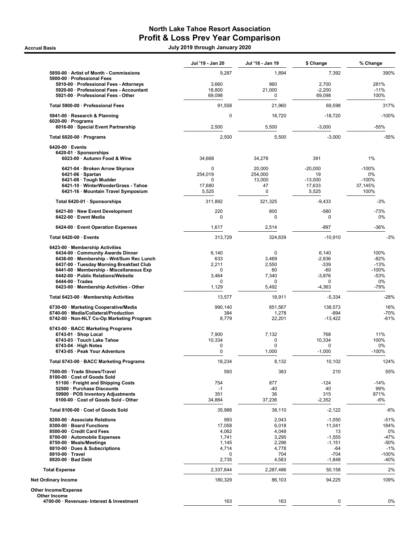## North Lake Tahoe Resort Association Profit & Loss Prev Year Comparison

.<br>2020 July 2019 through January 2020 July 2019 through January 2020

|                                                                                      | Jul '19 - Jan 20 | Jul '18 - Jan 19  | \$ Change         | % Change         |
|--------------------------------------------------------------------------------------|------------------|-------------------|-------------------|------------------|
| 5850-00 · Artist of Month - Commissions                                              | 9,287            | 1,894             | 7,392             | 390%             |
| 5900-00 · Professional Fees                                                          |                  |                   |                   |                  |
| 5910-00 · Professional Fees - Attorneys<br>5920-00 · Professional Fees - Accountant  | 3,660<br>18,800  | 960<br>21,000     | 2,700<br>$-2,200$ | 281%<br>$-11%$   |
| 5921-00 · Professional Fees - Other                                                  | 69,098           | 0                 | 69,098            | 100%             |
| Total 5900-00 · Professional Fees                                                    | 91,558           | 21,960            | 69,598            | 317%             |
| 5941-00 · Research & Planning                                                        | $\pmb{0}$        | 18,720            | $-18,720$         | $-100%$          |
| $6020-00 \cdot$ Programs<br>6016-00 · Special Event Partnership                      | 2,500            | 5,500             | $-3,000$          | -55%             |
| Total 6020-00 · Programs                                                             | 2,500            | 5,500             | $-3,000$          | -55%             |
| $6420-00 \cdot$ Events                                                               |                  |                   |                   |                  |
| 6420-01 · Sponsorships<br>6023-00 · Autumn Food & Wine                               | 34,668           | 34,278            | 391               | 1%               |
| 6421-04 · Broken Arrow Skyrace                                                       | 0                | 20,000            | $-20,000$         | $-100%$          |
| $6421-06 \cdot$ Spartan                                                              | 254,019          | 254,000           | 19                | 0%               |
| 6421-08 · Tough Mudder                                                               | 0                | 13,000            | $-13,000$         | $-100%$          |
| 6421-10 · WinterWonderGrass - Tahoe<br>6421-16 · Mountain Travel Symposium           | 17,680<br>5,525  | 47<br>$\mathbf 0$ | 17,633<br>5,525   | 37,145%<br>100%  |
| Total 6420-01 · Sponsorships                                                         | 311,892          | 321,325           | $-9,433$          | $-3%$            |
| 6421-00 · New Event Development                                                      | 220              | 800               | -580              | $-73%$           |
| 6422-00 · Event Media                                                                | $\mathbf 0$      | 0                 | 0                 | 0%               |
| 6424-00 · Event Operation Expenses                                                   | 1,617            | 2,514             | -897              | $-36%$           |
| Total 6420-00 · Events                                                               | 313,729          | 324,639           | $-10,910$         | $-3%$            |
| 6423-00 · Membership Activities                                                      |                  |                   |                   |                  |
| 6434-00 · Community Awards Dinner                                                    | 6,140            | $\mathbf 0$       | 6,140             | 100%             |
| 6436-00 · Membership - Wnt/Sum Rec Lunch<br>6437-00 · Tuesday Morning Breakfast Club | 633<br>2,211     | 3,469<br>2,550    | $-2,836$<br>-339  | $-82%$<br>$-13%$ |
| 6441-00 · Membership - Miscellaneous Exp                                             | $\Omega$         | 60                | -60               | $-100%$          |
| 6442-00 · Public Relations/Website                                                   | 3,464            | 7,340             | $-3,876$          | $-53%$           |
| $6444-00 \cdot Trades$<br>6423-00 · Membership Activities - Other                    | 0<br>1,129       | 0<br>5,492        | 0<br>$-4,363$     | 0%<br>$-79%$     |
| Total 6423-00 · Membership Activities                                                | 13,577           | 18,911            | $-5,334$          | -28%             |
| 6730-00 · Marketing Cooperative/Media                                                | 990,140          | 851,567           | 138,573           | 16%              |
| 6740-00 · Media/Collateral/Production                                                | 384              | 1,278             | -894              | -70%             |
| 6742-00 · Non-NLT Co-Op Marketing Program                                            | 8,779            | 22,201            | $-13,422$         | $-61%$           |
| 6743-00 · BACC Marketing Programs<br>$6743-01 \cdot$ Shop Local                      | 7,900            | 7,132             | 768               | 11%              |
| 6743-03 · Touch Lake Tahoe                                                           | 10,334           | 0                 | 10,334            | 100%             |
| $6743-04 \cdot$ High Notes                                                           | 0                | 0                 | 0                 | 0%               |
| 6743-05 · Peak Your Adventure                                                        | $\mathbf 0$      | 1,000             | $-1,000$          | $-100%$          |
| Total 6743-00 · BACC Marketing Programs                                              | 18,234           | 8,132             | 10,102            | 124%             |
| 7500-00 · Trade Shows/Travel<br>8100-00 · Cost of Goods Sold                         | 593              | 383               | 210               | 55%              |
| 51100 · Freight and Shipping Costs                                                   | 754              | 877               | $-124$            | $-14%$           |
| 52500 · Purchase Discounts                                                           | $-1$             | -40               | 40                | 99%              |
| 59900 · POS Inventory Adjustments<br>8100-00 · Cost of Goods Sold - Other            | 351<br>34,884    | 36<br>37,236      | 315<br>$-2,352$   | 871%<br>$-6%$    |
| Total 8100-00 · Cost of Goods Sold                                                   | 35,988           | 38,110            | $-2,122$          | -6%              |
| 8200-00 · Associate Relations                                                        | 993              | 2,043             | $-1,050$          | $-51%$           |
| 8300-00 · Board Functions                                                            | 17,058           | 6,018             | 11,041            | 184%             |
| 8500-00 · Credit Card Fees                                                           | 4,062            | 4,049             | 13                | 0%               |
| 8700-00 · Automobile Expenses                                                        | 1,741            | 3,295             | $-1,555$          | $-47%$           |
| 8750-00 · Meals/Meetings<br>8810-00 · Dues & Subscriptions                           | 1,145<br>4,714   | 2,296<br>4,778    | $-1,151$<br>$-64$ | $-50%$<br>$-1%$  |
| 8910-00 · Travel                                                                     | 0                | 704               | $-704$            | $-100%$          |
| 8920-00 · Bad Debt                                                                   | 2,735            | 4,583             | $-1,848$          | -40%             |
| <b>Total Expense</b>                                                                 | 2,337,644        | 2,287,486         | 50,158            | 2%               |
| <b>Net Ordinary Income</b>                                                           | 180,329          | 86,103            | 94,225            | 109%             |
| <b>Other Income/Expense</b><br><b>Other Income</b>                                   |                  |                   |                   |                  |
| 4700-00 · Revenues- Interest & Investment                                            | 163              | 163               | 0                 | 0%               |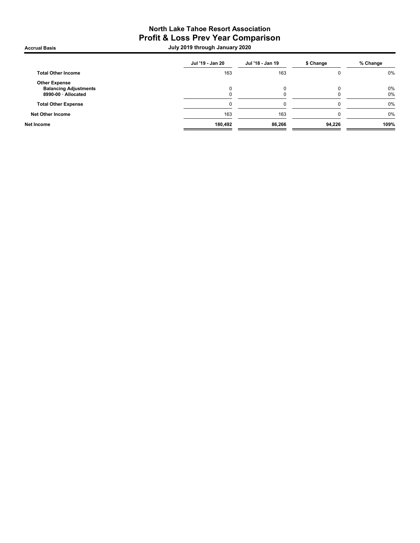### North Lake Tahoe Resort Association Profit & Loss Prev Year Comparison .<br>2020 July 2019 through January 2020 July 2019 through January 2020

| Jul '19 - Jan 20 | Jul '18 - Jan 19 | \$ Change | % Change |
|------------------|------------------|-----------|----------|
| 163              | 163              |           | 0%       |
|                  |                  |           |          |
|                  |                  | ŋ         | 0%       |
| O                | 0                | 0         | 0%       |
| 0                | 0                | 0         | 0%       |
| 163              | 163              | 0         | 0%       |
| 180,492          | 86,266           | 94,226    | 109%     |
|                  |                  |           |          |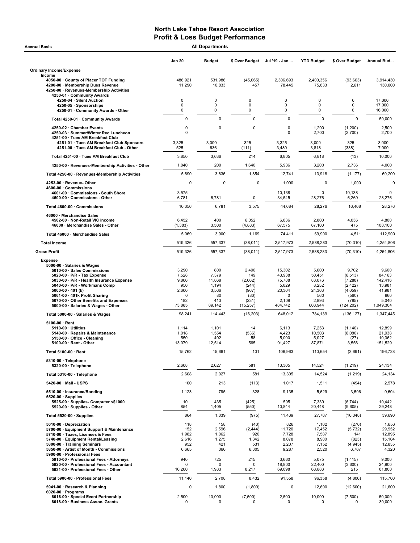| <b>All Departments</b><br><b>Accrual Basis</b>                                                                                                                                                                                                                                                                                           |                                                                         |                                                                 |                                                                         |                                                                        |                                                                         |                                                                                      |                                                                             |  |  |
|------------------------------------------------------------------------------------------------------------------------------------------------------------------------------------------------------------------------------------------------------------------------------------------------------------------------------------------|-------------------------------------------------------------------------|-----------------------------------------------------------------|-------------------------------------------------------------------------|------------------------------------------------------------------------|-------------------------------------------------------------------------|--------------------------------------------------------------------------------------|-----------------------------------------------------------------------------|--|--|
|                                                                                                                                                                                                                                                                                                                                          | <b>Jan 20</b>                                                           | <b>Budget</b>                                                   | \$ Over Budget                                                          | Jul '19 - Jan                                                          | <b>YTD Budget</b>                                                       | \$ Over Budget                                                                       | Annual Bud                                                                  |  |  |
| <b>Ordinary Income/Expense</b>                                                                                                                                                                                                                                                                                                           |                                                                         |                                                                 |                                                                         |                                                                        |                                                                         |                                                                                      |                                                                             |  |  |
| Income<br>4050-00 County of Placer TOT Funding<br>4200-00 · Membership Dues Revenue<br>4250-00 · Revenues-Membership Activities<br>4250-01 · Community Awards                                                                                                                                                                            | 486,921<br>11,290                                                       | 531,986<br>10,833                                               | (45,065)<br>457                                                         | 2,306,693<br>78,445                                                    | 2,400,356<br>75,833                                                     | (93, 663)<br>2,611                                                                   | 3,914,430<br>130,000                                                        |  |  |
| 4250-04 · Silent Auction<br>4250-05 · Sponsorships<br>4250-01 · Community Awards - Other                                                                                                                                                                                                                                                 | $\mathbf 0$<br>0<br>0                                                   | 0<br>0<br>0                                                     | $\mathbf 0$<br>0<br>$\mathbf 0$                                         | 0<br>0<br>0                                                            | 0<br>0<br>0                                                             | 0<br>0<br>0                                                                          | 17,000<br>17,000<br>16,000                                                  |  |  |
| Total 4250-01 · Community Awards                                                                                                                                                                                                                                                                                                         | $\mathbf 0$                                                             | $\mathbf 0$                                                     | $\mathbf 0$                                                             | $\mathbf 0$                                                            | $\mathbf 0$                                                             | $\mathbf 0$                                                                          | 50,000                                                                      |  |  |
| 4250-02 · Chamber Events<br>4250-03 · Summer/Winter Rec Luncheon<br>4251-00 · Tues AM Breakfast Club                                                                                                                                                                                                                                     | 0<br>$\mathbf 0$                                                        | 0                                                               | 0                                                                       | 0<br>0                                                                 | 1,200<br>2,700                                                          | (1,200)<br>(2,700)                                                                   | 2,500<br>2,700                                                              |  |  |
| 4251-01 · Tues AM Breakfast Club Sponsors<br>4251-00 · Tues AM Breakfast Club - Other                                                                                                                                                                                                                                                    | 3,325<br>525                                                            | 3,000<br>636                                                    | 325<br>(111)                                                            | 3,325<br>3,480                                                         | 3,000<br>3,818                                                          | 325<br>(338)                                                                         | 3,000<br>7,000                                                              |  |  |
| Total 4251-00 · Tues AM Breakfast Club                                                                                                                                                                                                                                                                                                   | 3,850                                                                   | 3,636                                                           | 214                                                                     | 6,805                                                                  | 6,818                                                                   | (13)                                                                                 | 10,000                                                                      |  |  |
| 4250-00 · Revenues-Membership Activities - Other                                                                                                                                                                                                                                                                                         | 1,840                                                                   | 200                                                             | 1,640                                                                   | 5,936                                                                  | 3,200                                                                   | 2,736                                                                                | 4,000                                                                       |  |  |
| Total 4250-00 · Revenues-Membership Activities                                                                                                                                                                                                                                                                                           | 5,690                                                                   | 3,836                                                           | 1,854                                                                   | 12,741                                                                 | 13,918                                                                  | (1, 177)                                                                             | 69,200                                                                      |  |  |
| 4253-00 · Revenue-Other<br>4600-00 Commissions<br>4601-00 Commissions - South Shore                                                                                                                                                                                                                                                      | $\Omega$<br>3,575                                                       | $\Omega$                                                        | $\Omega$                                                                | 1,000<br>10,138                                                        | $\mathbf 0$<br>$\mathbf 0$                                              | 1,000<br>10,138                                                                      | $\mathbf 0$<br>$\mathbf 0$                                                  |  |  |
| 4600-00 · Commissions - Other                                                                                                                                                                                                                                                                                                            | 6,781                                                                   | 6,781                                                           | 0                                                                       | 34,545                                                                 | 28,276                                                                  | 6,269                                                                                | 28,276                                                                      |  |  |
| Total 4600-00 · Commissions                                                                                                                                                                                                                                                                                                              | 10,356                                                                  | 6,781                                                           | 3,575                                                                   | 44,684                                                                 | 28,276                                                                  | 16,408                                                                               | 28,276                                                                      |  |  |
| 46000 · Merchandise Sales<br>4502-00 · Non-Retail VIC income<br>46000 · Merchandise Sales - Other                                                                                                                                                                                                                                        | 6,452<br>(1, 383)                                                       | 400<br>3,500                                                    | 6,052<br>(4, 883)                                                       | 6,836<br>67,575                                                        | 2,800<br>67,100                                                         | 4,036<br>475                                                                         | 4,800<br>108,100                                                            |  |  |
| Total 46000 · Merchandise Sales                                                                                                                                                                                                                                                                                                          | 5,069                                                                   | 3,900                                                           | 1,169                                                                   | 74,411                                                                 | 69,900                                                                  | 4,511                                                                                | 112,900                                                                     |  |  |
| <b>Total Income</b>                                                                                                                                                                                                                                                                                                                      | 519,326                                                                 | 557,337                                                         | (38, 011)                                                               | 2,517,973                                                              | 2,588,283                                                               | (70, 310)                                                                            | 4,254,806                                                                   |  |  |
| <b>Gross Profit</b>                                                                                                                                                                                                                                                                                                                      | 519,326                                                                 | 557,337                                                         | (38, 011)                                                               | 2,517,973                                                              | 2,588,283                                                               | (70, 310)                                                                            | 4,254,806                                                                   |  |  |
| <b>Expense</b><br>5000-00 · Salaries & Wages<br>5010-00 · Sales Commissions<br>5020-00 $\cdot$ P/R - Tax Expense<br>5030-00 · P/R - Health Insurance Expense<br>5040-00 · P/R - Workmans Comp<br>5060-00 $\cdot$ 401 (k)<br>5061-00 · 401k Profit Sharing<br>5070-00 · Other Benefits and Expenses<br>5000-00 · Salaries & Wages - Other | 3,290<br>7,528<br>9,806<br>950<br>2,600<br>$\mathbf 0$<br>182<br>73,885 | 800<br>7,379<br>11,868<br>1,194<br>3,566<br>80<br>413<br>89,142 | 2,490<br>149<br>(2,062)<br>(244)<br>(967)<br>(80)<br>(231)<br>(15, 257) | 15,302<br>43,938<br>75,788<br>5,829<br>20,304<br>0<br>2,109<br>484,742 | 5,600<br>50,451<br>83,076<br>8,252<br>24,363<br>560<br>2,893<br>608,944 | 9,702<br>(6, 513)<br>(7, 288)<br>(2, 422)<br>(4,059)<br>(560)<br>(785)<br>(124, 202) | 9,600<br>84,163<br>142,416<br>13,981<br>41,981<br>960<br>5,040<br>1.049.304 |  |  |
| Total 5000-00 · Salaries & Wages                                                                                                                                                                                                                                                                                                         | 98,241                                                                  | 114,443                                                         | (16, 203)                                                               | 648,012                                                                | 784,139                                                                 | (136, 127)                                                                           | 1,347,445                                                                   |  |  |
| $5100-00 \cdot$ Rent<br>$5110-00 \cdot$ Utilities<br>5140-00 · Repairs & Maintenance<br>5150-00 · Office - Cleaning<br>5100-00 · Rent - Other                                                                                                                                                                                            | 1,114<br>1,018<br>550<br>13,079                                         | 1,101<br>1,554<br>492<br>12,514                                 | 14<br>(536)<br>58<br>565                                                | 6,113<br>4,423<br>5,000<br>91,427                                      | 7,253<br>10,503<br>5,027<br>87,871                                      | (1, 140)<br>(6,080)<br>(27)<br>3,556                                                 | 12,899<br>21,938<br>10,362<br>151,529                                       |  |  |
| Total 5100-00 · Rent                                                                                                                                                                                                                                                                                                                     | 15,762                                                                  | 15,661                                                          | 101                                                                     | 106,963                                                                | 110,654                                                                 | (3,691)                                                                              | 196,728                                                                     |  |  |
| 5310-00 · Telephone<br>5320-00 · Telephone                                                                                                                                                                                                                                                                                               | 2,608                                                                   | 2,027                                                           | 581                                                                     | 13,305                                                                 | 14,524                                                                  | (1, 219)                                                                             | 24,134                                                                      |  |  |
| Total 5310-00 · Telephone                                                                                                                                                                                                                                                                                                                | 2,608                                                                   | 2,027                                                           | 581                                                                     | 13,305                                                                 | 14,524                                                                  | (1,219)                                                                              | 24,134                                                                      |  |  |
| 5420-00 · Mail - USPS                                                                                                                                                                                                                                                                                                                    | 100                                                                     | 213                                                             | (113)                                                                   | 1,017                                                                  | 1,511                                                                   | (494)                                                                                | 2,578                                                                       |  |  |
| 5510-00 · Insurance/Bonding<br>$5520-00 \cdot$ Supplies<br>5525-00 · Supplies- Computer <\$1000                                                                                                                                                                                                                                          | 1,123<br>10                                                             | 795<br>435                                                      | 328<br>(425)                                                            | 9,135<br>595                                                           | 5,629<br>7,339                                                          | 3,506<br>(6,744)                                                                     | 9,604<br>10,442                                                             |  |  |
| 5520-00 · Supplies - Other                                                                                                                                                                                                                                                                                                               | 854                                                                     | 1,405                                                           | (550)                                                                   | 10,844                                                                 | 20,448                                                                  | (9,605)                                                                              | 29,248                                                                      |  |  |
| Total 5520-00 · Supplies<br>5610-00 · Depreciation                                                                                                                                                                                                                                                                                       | 864<br>118                                                              | 1,839<br>158                                                    | (975)                                                                   | 11,439<br>826                                                          | 27,787                                                                  | (16, 348)                                                                            | 39,690                                                                      |  |  |
| 5700-00 · Equipment Support & Maintenance<br>5710-00 · Taxes, Licenses & Fees<br>5740-00 · Equipment Rental/Leasing<br>5800-00 · Training Seminars<br>5850-00 · Artist of Month - Commissions<br>5900-00 · Professional Fees<br>5910-00 · Professional Fees - Attorneys                                                                  | 152<br>1,982<br>2,616<br>952<br>6,665<br>940                            | 2,596<br>1,062<br>1,275<br>421<br>360<br>725                    | (40)<br>(2, 444)<br>920<br>1,342<br>531<br>6,305<br>215                 | 11,720<br>7,728<br>8,078<br>2,207<br>9,287<br>3,660                    | 1,102<br>17,452<br>7,587<br>8,900<br>7,152<br>2,520<br>5,075            | (276)<br>(5, 732)<br>141<br>(823)<br>(4, 945)<br>6,767<br>(1, 415)                   | 1,656<br>29,952<br>12,895<br>15,104<br>12,835<br>4,320<br>9,000             |  |  |
| 5920-00 · Professional Fees - Accountant<br>5921-00 · Professional Fees - Other                                                                                                                                                                                                                                                          | 0<br>10,200                                                             | 0<br>1,983                                                      | $\Omega$<br>8,217                                                       | 18,800<br>69,098                                                       | 22,400<br>68,883                                                        | (3,600)<br>215                                                                       | 24,900<br>81,800                                                            |  |  |
| Total 5900-00 · Professional Fees                                                                                                                                                                                                                                                                                                        | 11,140                                                                  | 2,708                                                           | 8,432                                                                   | 91,558                                                                 | 96,358                                                                  | (4,800)                                                                              | 115,700                                                                     |  |  |
| 5941-00 · Research & Planning<br>$6020-00 \cdot$ Programs                                                                                                                                                                                                                                                                                | $\mathbf 0$                                                             | 1,800                                                           | (1,800)                                                                 | 0                                                                      | 12,600                                                                  | (12,600)                                                                             | 21,600                                                                      |  |  |
| 6016-00 · Special Event Partnership<br>6018-00 · Business Assoc. Grants                                                                                                                                                                                                                                                                  | 2,500<br>0                                                              | 10,000<br>0                                                     | (7,500)<br>$\Omega$                                                     | 2,500<br>0                                                             | 10,000<br>0                                                             | (7,500)<br>0                                                                         | 50,000<br>30,000                                                            |  |  |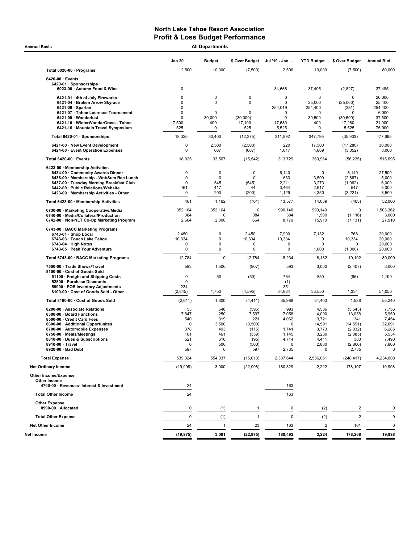Accrual Basis **Accrual Basis All Departments** 

|                                                                                    | <b>Jan 20</b>   | <b>Budget</b>         | \$ Over Budget             | Jul '19 - Jan              | <b>YTD Budget</b>     | \$ Over Budget          | Annual Bud       |
|------------------------------------------------------------------------------------|-----------------|-----------------------|----------------------------|----------------------------|-----------------------|-------------------------|------------------|
| Total 6020-00 · Programs                                                           | 2,500           | 10,000                | (7,500)                    | 2,500                      | 10,000                | (7,500)                 | 80,000           |
| $6420-00 \cdot$ Events<br>6420-01 · Sponsorships                                   |                 |                       |                            |                            |                       |                         |                  |
| 6023-00 · Autumn Food & Wine                                                       | 0               |                       |                            | 34,668                     | 37,495                | (2,827)                 | 37,495           |
| 6421-01 · 4th of July Fireworks<br>6421-04 · Broken Arrow Skyrace                  | 0<br>$\Omega$   | 0<br>$\mathbf 0$      | 0<br>0                     | $\mathbf 0$<br>$\mathbf 0$ | $\mathbf 0$<br>25,000 | $\Omega$<br>(25,000)    | 20,000<br>25,400 |
| $6421-06 \cdot$ Spartan                                                            | $\Omega$        |                       |                            | 254,019                    | 254,400               | (381)                   | 254,400          |
| 6421-07 · Tahoe Lacrosse Tournament<br>6421-09 · Wanderlust                        | 0<br>$\Omega$   | $\mathbf 0$<br>30,000 | $\mathbf 0$<br>(30,000)    | 0<br>0                     | $\mathbf 0$<br>30,500 | $\Omega$<br>(30, 500)   | 6,000<br>37,500  |
| 6421-10 · WinterWonderGrass - Tahoe                                                | 17,500          | 400                   | 17,100                     | 17,680                     | 400                   | 17,280                  | 21,900           |
| 6421-16 · Mountain Travel Symposium                                                | 525             | 0                     | 525                        | 5,525                      | 0                     | 5,525                   | 75,000           |
| Total 6420-01 · Sponsorships                                                       | 18,025          | 30,400                | (12, 375)                  | 311,892                    | 347,795               | (35, 903)               | 477,695          |
| 6421-00 · New Event Development<br>6424-00 · Event Operation Expenses              | 0<br>0          | 2,500<br>667          | (2,500)<br>(667)           | 220<br>1,617               | 17,500<br>4,669       | (17, 280)<br>(3,052)    | 30,000<br>8,000  |
| Total 6420-00 · Events                                                             | 18,025          | 33,567                | (15, 542)                  | 313,729                    | 369,964               | (56, 235)               | 515,695          |
| 6423-00 · Membership Activities                                                    |                 |                       |                            |                            |                       |                         |                  |
| 6434-00 Community Awards Dinner<br>6436-00 · Membership - Wnt/Sum Rec Lunch        | 0<br>0          | 0<br>0                | $\mathbf 0$<br>$\mathbf 0$ | 6,140<br>633               | $\mathbf 0$<br>3,500  | 6,140<br>(2,867)        | 27,500<br>5,000  |
| 6437-00 · Tuesday Morning Breakfast Club                                           | 0               | 545                   | (545)                      | 2,211                      | 3,273                 | (1,062)                 | 6,000            |
| 6442-00 · Public Relations/Website<br>6423-00 · Membership Activities - Other      | 461<br>0        | 417<br>200            | 44<br>(200)                | 3,464<br>1,129             | 2,917<br>4,350        | 547<br>(3,221)          | 5,000<br>8,500   |
| Total 6423-00 · Membership Activities                                              | 461             | 1,162                 | (701)                      | 13,577                     | 14,039                | (463)                   | 52,000           |
| 6730-00 · Marketing Cooperative/Media                                              | 352,164         | 352,164               | $\pmb{0}$                  | 990,140                    | 990,140               | $\pmb{0}$               | 1,503,362        |
| 6740-00 · Media/Collateral/Production<br>6742 00 · Non-NLT Co-Op Marketing Program | 384<br>2,664    | $\mathbf 0$<br>2,000  | 384<br>664                 | 384<br>8,779               | 1,500<br>15,910       | (1, 116)<br>(7, 131)    | 3,000<br>27,910  |
| 6743-00 · BACC Marketing Programs                                                  |                 |                       |                            |                            |                       |                         |                  |
| 6743-01 · Shop Local<br>6743-03 · Touch Lake Tahoe                                 | 2,450<br>10,334 | 0<br>0                | 2,450<br>10,334            | 7,900<br>10,334            | 7,132<br>0            | 768<br>10,334           | 20,000<br>20,000 |
| $6743-04 \cdot$ High Notes                                                         | 0               | 0                     | $\mathbf 0$                | $\mathbf 0$                | $\mathbf 0$           | $\Omega$                | 20,000           |
| 6743-05 · Peak Your Adventure                                                      | 0               | 0                     | 0                          | 0                          | 1,000                 | (1,000)                 | 20,000           |
| Total 6743-00 · BACC Marketing Programs                                            | 12,784          | $\mathbf 0$           | 12,784                     | 18,234                     | 8,132                 | 10,102                  | 80,000           |
| 7500-00 · Trade Shows/Travel<br>8100-00 · Cost of Goods Sold                       | 593             | 1,500                 | (907)                      | 593                        | 3,000                 | (2, 407)                | 3,000            |
| 51100 · Freight and Shipping Costs                                                 | 0<br>0          | 50                    | (50)                       | 754                        | 850                   | (96)                    | 1,190            |
| 52500 · Purchase Discounts<br>59900 · POS Inventory Adjustments                    | 234             |                       |                            | (1)<br>351                 |                       |                         |                  |
| 8100-00 · Cost of Goods Sold - Other                                               | (2,845)         | 1,750                 | (4, 595)                   | 34,884                     | 33,550                | 1,334                   | 54,050           |
| Total 8100-00 · Cost of Goods Sold                                                 | (2,611)         | 1,800                 | (4, 411)                   | 35,988                     | 34,400                | 1,588                   | 55,240           |
| 8200-00 · Associate Relations                                                      | 53              | 648                   | (595)                      | 993                        | 4,536                 | (3, 543)                | 7,756            |
| 8300-00 · Board Functions<br>8500-00 · Credit Card Fees                            | 7,847<br>540    | 250<br>319            | 7,597<br>221               | 17,058<br>4,062            | 4,000<br>3,721        | 13,058<br>341           | 5,950<br>7,454   |
| 8600-00 · Additional Opportunites                                                  | 0               | 3,500                 | (3,500)                    | $\Omega$                   | 14,591                | (14, 591)               | 32,091           |
| 8700-00 · Automobile Expenses                                                      | 378             | 493                   | (115)                      | 1,741                      | 3,773                 | (2,032)                 | 6,285            |
| 8750-00 · Meals/Meetings<br>8810-00 · Dues & Subscriptions                         | 101<br>521      | 461<br>616            | (359)<br>(95)              | 1,145<br>4,714             | 3,230<br>4,411        | (2,085)<br>303          | 5,534<br>7,490   |
| 8910-00 · Travel                                                                   | $\mathbf 0$     | 500                   | (500)                      | 0                          | 2,800                 | (2,800)                 | 7,800            |
| 8920-00 · Bad Debt                                                                 | 597             | $\mathbf 0$           | 597                        | 2,735                      | $\mathbf 0$           | 2,735                   | 0                |
| <b>Total Expense</b>                                                               | 539,324         | 554,337               | (15, 013)                  | 2,337,644                  | 2,586,061             | (248, 417)              | 4,234,808        |
| <b>Net Ordinary Income</b>                                                         | (19,998)        | 3,000                 | (22,998)                   | 180,329                    | 2,222                 | 178,107                 | 19,998           |
| Other Income/Expense<br>Other Income<br>4700-00 · Revenues- Interest & Investment  | 24              |                       |                            | 163                        |                       |                         |                  |
| <b>Total Other Income</b>                                                          | 24              |                       |                            | 163                        |                       |                         |                  |
| <b>Other Expense</b><br>8990-00 · Allocated                                        | 0               |                       |                            | 0                          |                       | 2                       | $\mathbf 0$      |
| <b>Total Other Expense</b>                                                         | 0               | (1)<br>(1)            | 1                          | $\mathbf 0$                | (2)<br>(2)            | $\overline{\mathbf{c}}$ | 0                |
| <b>Net Other Income</b>                                                            | 24              | $\overline{1}$        | 23                         | 163                        | $\sqrt{2}$            | 161                     | 0                |
| Net Income                                                                         | (19, 975)       | 3,001                 | (22, 975)                  | 180,492                    | 2,224                 | 178,268                 | 19,998           |
|                                                                                    |                 |                       |                            |                            |                       |                         |                  |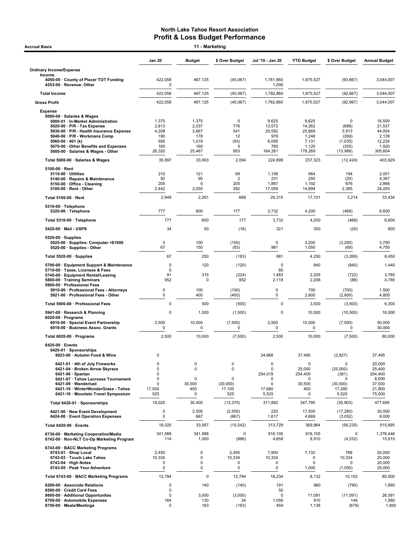|                                                                         | <b>Jan 20</b>          | <b>Budget</b>            | \$ Over Budget     | Jul '19 - Jan 20         | <b>YTD Budget</b>     | \$ Over Budget       | <b>Annual Budget</b> |
|-------------------------------------------------------------------------|------------------------|--------------------------|--------------------|--------------------------|-----------------------|----------------------|----------------------|
| <b>Ordinary Income/Expense</b><br>Income                                |                        |                          |                    |                          |                       |                      |                      |
| 4050-00 · County of Placer TOT Funding<br>4253-00 · Revenue- Other      | 422,058<br>$\mathbf 0$ | 467,125                  | (45,067)           | 1,781,860<br>1,000       | 1,875,527             | (93, 667)            | 3,044,007            |
| <b>Total Income</b>                                                     | 422,058                | 467,125                  | (45,067)           | 1,782,860                | 1,875,527             | (92, 667)            | 3,044,007            |
| <b>Gross Profit</b>                                                     | 422,058                | 467,125                  | (45,067)           | 1,782,860                | 1,875,527             | (92, 667)            | 3,044,007            |
| <b>Expense</b>                                                          |                        |                          |                    |                          |                       |                      |                      |
| 5000-00 · Salaries & Wages<br>5000-01 · In-Market Administration        | 1,375                  | 1,375                    | $\mathbf 0$        | 9,625                    | 9,625                 | 0                    | 16,500               |
| 5020-00 · P/R - Tax Expense<br>5030-00 · P/R - Health Insurance Expense | 2,813<br>4,208         | 2,037<br>3,667           | 776<br>541         | 13,572<br>29,582         | 14,262<br>25,669      | (689)<br>3,913       | 21,537<br>44,004     |
| 5040-00 · P/R - Workmans Comp                                           | 190                    | 178                      | 12                 | 979                      | 1,248                 | (269)                | 2,139                |
| 5060-00 $\cdot$ 401 (k)<br>5070-00 · Other Benefits and Expenses        | 926<br>165             | 1,019<br>160             | (93)<br>5          | 6,095<br>765             | 7,131<br>1,120        | (1,035)<br>(355)     | 12,224<br>1,920      |
| 5000-00 · Salaries & Wages - Other                                      | 26,320                 | 25,467                   | 853                | 164,281                  | 178,269               | (13,988)             | 305,604              |
| Total 5000-00 · Salaries & Wages                                        | 35,997                 | 33,903                   | 2,094              | 224,899                  | 237,323               | (12, 424)            | 403,929              |
| $5100-00 \cdot$ Rent<br>$5110-00 \cdot$ Utilities                       | 210                    | 121                      | 89                 | 1,158                    | 964                   | 194                  | 2,001                |
| 5140-00 · Repairs & Maintenance                                         | 92                     | 90                       | $\overline{2}$     | 231                      | 250                   | (20)                 | 4,367                |
| 5150-00 Office - Cleaning<br>5100-00 · Rent - Other                     | 205<br>2,442           | $\mathbf 0$<br>2,050     | 205<br>392         | 1,867<br>17,059          | 1,192<br>14,694       | 676<br>2,365         | 2,866<br>24,200      |
| Total 5100-00 · Rent                                                    | 2,949                  | 2,261                    | 688                | 20,315                   | 17,101                | 3,214                | 33,434               |
| 5310-00 · Telephone                                                     |                        | 600                      | 177                |                          |                       |                      |                      |
| 5320-00 · Telephone<br>Total 5310-00 · Telephone                        | 777<br>777             | 600                      | 177                | 3,732<br>3,732           | 4,200<br>4,200        | (468)<br>(468)       | 6,600<br>6,600       |
| 5420-00 · Mail - USPS                                                   | 34                     | 50                       | (16)               | 321                      | 350                   | (29)                 | 600                  |
| $5520-00 \cdot$ Supplies                                                |                        |                          |                    |                          |                       |                      |                      |
| 5525-00 · Supplies- Computer <\$1000<br>5520-00 · Supplies - Other      | $\mathbf 0$<br>67      | 100<br>150               | (100)<br>(83)      | $\mathbf 0$<br>981       | 3,200<br>1,050        | (3,200)<br>(69)      | 3,700<br>4,750       |
| Total 5520-00 · Supplies                                                | 67                     | 250                      | (183)              | 981                      | 4,250                 | (3,269)              | 8,450                |
| 5700-00 · Equipment Support & Maintenance                               | $\mathbf 0$            | 120                      | (120)              | $\mathbf 0$              | 840                   | (840)                | 1,440                |
| 5710-00 · Taxes, Licenses & Fees                                        | $\mathbf 0$            |                          |                    | 60                       |                       |                      |                      |
| 5740-00 · Equipment Rental/Leasing<br>5800-00 · Training Seminars       | 91<br>952              | 315<br>$\Omega$          | (224)<br>952       | 1,483<br>2,118           | 2,205<br>2,206        | (722)<br>(88)        | 3,780<br>4,785       |
| 5900-00 · Professional Fees<br>5910-00 · Professional Fees - Attorneys  | $\mathbf 0$            | 100                      | (100)              | $\mathbf 0$              | 700                   | (700)                | 1,500                |
| 5921-00 · Professional Fees - Other                                     | $\pmb{0}$              | 400                      | (400)              | $\mathsf 0$              | 2,800                 | (2,800)              | 4,800                |
| Total 5900-00 · Professional Fees                                       | $\mathbf 0$            | 500                      | (500)              | $\mathbf 0$              | 3,500                 | (3,500)              | 6,300                |
| 5941-00 · Research & Planning<br>6020-00 $\cdot$ Programs               | $\mathbf 0$            | 1,500                    | (1,500)            | $\mathbf 0$              | 10,500                | (10, 500)            | 18,000               |
| 6016-00 · Special Event Partnership<br>6018-00 · Business Assoc. Grants | 2,500<br>$\mathbf 0$   | 10,000<br>$\mathbf 0$    | (7,500)<br>0       | 2,500<br>$\mathbf 0$     | 10,000<br>$\mathbf 0$ | (7,500)<br>0         | 50,000<br>30,000     |
| Total 6020-00 · Programs                                                | 2,500                  | 10,000                   | (7,500)            | 2,500                    | 10,000                | (7,500)              | 80,000               |
| 6420-00 · Events                                                        |                        |                          |                    |                          |                       |                      |                      |
| 6420-01 · Sponsorships<br>6023-00 · Autumn Food & Wine                  | 0                      |                          |                    | 34,668                   | 37,495                | (2,827)              | 37,495               |
| 6421-01 · 4th of July Fireworks                                         | 0                      | 0                        | 0                  | 0                        | $\mathbf 0$           | 0                    | 20,000               |
| 6421-04 · Broken Arrow Skyrace                                          | 0                      | 0                        | $\mathbf 0$        | $\mathbf 0$              | 25,000                | (25,000)             | 25,400               |
| $6421-06 \cdot$ Spartan<br>6421-07 · Tahoe Lacrosse Tournament          | 0<br>0                 | $\pmb{0}$                | $\mathbf 0$        | 254,019<br>0             | 254,400<br>$\Omega$   | (381)<br>0           | 254,400<br>6,000     |
| 6421-09 · Wanderlust<br>6421-10 · WinterWonderGrass - Tahoe             | 0<br>17,500            | 30,000                   | (30,000)<br>17,100 | 0<br>17,680              | 30,500<br>400         | (30, 500)<br>17,280  | 37,500<br>21,900     |
| 6421-16 · Mountain Travel Symposium                                     | 525                    | 400<br>0                 | 525                | 5,525                    | 0                     | 5,525                | 75,000               |
| Total 6420-01 · Sponsorships                                            | 18,025                 | 30,400                   | (12, 375)          | 311,892                  | 347,795               | (35,903)             | 477,695              |
| 6421-00 · New Event Development<br>6424-00 · Event Operation Expenses   | 0<br>$\mathbf 0$       | 2,500<br>667             | (2,500)<br>(667)   | 220<br>1,617             | 17,500<br>4,669       | (17, 280)<br>(3,052) | 30,000<br>8,000      |
| Total 6420-00 · Events                                                  | 18,025                 | 33,567                   | (15, 542)          | 313,729                  | 369,964               | (56, 235)            | 515,695              |
| 6730-00 · Marketing Cooperative/Media                                   | 341,588                | 341,588                  | 0                  | 916,105                  | 916,105               | 0                    | 1,376,446            |
| 6742-00 · Non-NLT Co-Op Marketing Program                               | 114                    | 1,000                    | (886)              | 4,658                    | 8,910                 | (4,252)              | 15,910               |
| 6743-00 · BACC Marketing Programs<br>6743-01 · Shop Local               | 2,450                  | $\mathbf 0$              | 2,450              | 7,900                    | 7,132                 | 768                  | 20,000               |
| 6743-03 · Touch Lake Tahoe                                              | 10,334                 | $\mathbf 0$              | 10,334             | 10,334                   | 0                     | 10,334               | 20,000               |
| $6743-04 \cdot$ High Notes<br>6743-05 · Peak Your Adventure             | 0<br>$\mathbf 0$       | $\mathbf 0$<br>$\pmb{0}$ | 0<br>0             | $\mathbf 0$<br>$\pmb{0}$ | $\mathbf 0$<br>1,000  | 0<br>(1,000)         | 20,000<br>20,000     |
| Total 6743-00 · BACC Marketing Programs                                 | 12,784                 | 0                        | 12,784             | 18,234                   | 8,132                 | 10,102               | 80,000               |
| 8200-00 · Associate Relations                                           | $\pmb{0}$              | 140                      | (140)              | 191                      | 980                   | (790)                | 1,660                |
| 8500-00 · Credit Card Fees                                              | $\pmb{0}$              |                          |                    | 50<br>$\mathbf 0$        | 11,091                |                      | 26,091               |
| 8600-00 · Additional Opportunites                                       | $\pmb{0}$              | 3,000                    | (3,000)            |                          |                       | (11,091)             |                      |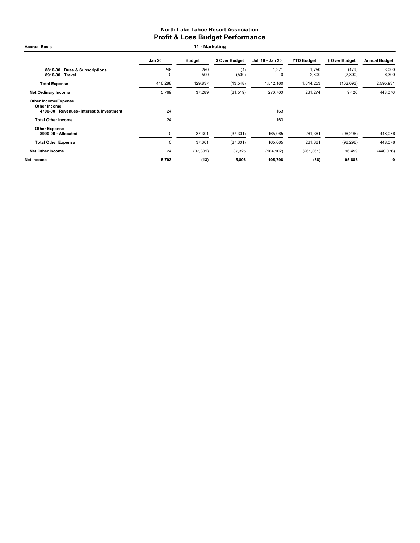Accrual Basis **11 - Marketing** 

|                                                                                          | <b>Jan 20</b> | <b>Budget</b> | \$ Over Budget | Jul '19 - Jan 20 | <b>YTD Budget</b> | \$ Over Budget   | <b>Annual Budget</b> |
|------------------------------------------------------------------------------------------|---------------|---------------|----------------|------------------|-------------------|------------------|----------------------|
| 8810-00 Dues & Subscriptions<br>8910-00 · Travel                                         | 246<br>0      | 250<br>500    | (4)<br>(500)   | 1,271<br>O       | 1,750<br>2,800    | (479)<br>(2,800) | 3,000<br>6,300       |
| <b>Total Expense</b>                                                                     | 416,288       | 429,837       | (13, 548)      | 1,512,160        | 1,614,253         | (102, 093)       | 2,595,931            |
| <b>Net Ordinary Income</b>                                                               | 5,769         | 37,289        | (31, 519)      | 270,700          | 261,274           | 9,426            | 448,076              |
| <b>Other Income/Expense</b><br>Other Income<br>4700-00 · Revenues- Interest & Investment | 24            |               |                | 163              |                   |                  |                      |
| <b>Total Other Income</b>                                                                | 24            |               |                | 163              |                   |                  |                      |
| <b>Other Expense</b><br>8990-00 · Allocated                                              | 0             | 37,301        | (37, 301)      | 165,065          | 261,361           | (96, 296)        | 448,076              |
| <b>Total Other Expense</b>                                                               | 0             | 37,301        | (37, 301)      | 165,065          | 261,361           | (96, 296)        | 448,076              |
| <b>Net Other Income</b>                                                                  | 24            | (37, 301)     | 37,325         | (164, 902)       | (261, 361)        | 96,459           | (448, 076)           |
| Net Income                                                                               | 5,793         | (13)          | 5,806          | 105,798          | (88)              | 105,886          | 0                    |
|                                                                                          |               |               |                |                  |                   |                  |                      |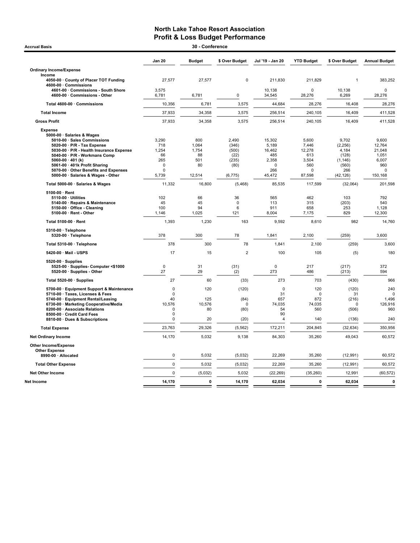| <b>Accrual Basis</b>                                                                                                                                                                                                                                                                                                                                                                                                                                                                                                                                                                                       |                                                                                                                                         | 30 - Conference                                                                                                |                                                                                                                   |                                                                                                                                           |                                                                                                                                    |                                                                                                                                                 |                                                                                                                                            |
|------------------------------------------------------------------------------------------------------------------------------------------------------------------------------------------------------------------------------------------------------------------------------------------------------------------------------------------------------------------------------------------------------------------------------------------------------------------------------------------------------------------------------------------------------------------------------------------------------------|-----------------------------------------------------------------------------------------------------------------------------------------|----------------------------------------------------------------------------------------------------------------|-------------------------------------------------------------------------------------------------------------------|-------------------------------------------------------------------------------------------------------------------------------------------|------------------------------------------------------------------------------------------------------------------------------------|-------------------------------------------------------------------------------------------------------------------------------------------------|--------------------------------------------------------------------------------------------------------------------------------------------|
|                                                                                                                                                                                                                                                                                                                                                                                                                                                                                                                                                                                                            | Jan 20                                                                                                                                  | <b>Budget</b>                                                                                                  | \$ Over Budget                                                                                                    | Jul '19 - Jan 20                                                                                                                          | <b>YTD Budget</b>                                                                                                                  | \$ Over Budget                                                                                                                                  | <b>Annual Budget</b>                                                                                                                       |
| <b>Ordinary Income/Expense</b>                                                                                                                                                                                                                                                                                                                                                                                                                                                                                                                                                                             |                                                                                                                                         |                                                                                                                |                                                                                                                   |                                                                                                                                           |                                                                                                                                    |                                                                                                                                                 |                                                                                                                                            |
| Income<br>4050-00 · County of Placer TOT Funding<br>4600-00 · Commissions                                                                                                                                                                                                                                                                                                                                                                                                                                                                                                                                  | 27,577                                                                                                                                  | 27,577                                                                                                         | $\pmb{0}$                                                                                                         | 211,830                                                                                                                                   | 211,829                                                                                                                            | $\overline{1}$                                                                                                                                  | 383,252                                                                                                                                    |
| 4601-00 Commissions - South Shore<br>4600-00 · Commissions - Other                                                                                                                                                                                                                                                                                                                                                                                                                                                                                                                                         | 3,575<br>6,781                                                                                                                          | 6,781                                                                                                          | $\mathbf 0$                                                                                                       | 10.138<br>34,545                                                                                                                          | 0<br>28,276                                                                                                                        | 10,138<br>6,269                                                                                                                                 | $\mathbf 0$<br>28,276                                                                                                                      |
| Total 4600-00 · Commissions                                                                                                                                                                                                                                                                                                                                                                                                                                                                                                                                                                                | 10,356                                                                                                                                  | 6,781                                                                                                          | 3,575                                                                                                             | 44,684                                                                                                                                    | 28,276                                                                                                                             | 16,408                                                                                                                                          | 28,276                                                                                                                                     |
| <b>Total Income</b>                                                                                                                                                                                                                                                                                                                                                                                                                                                                                                                                                                                        | 37,933                                                                                                                                  | 34,358                                                                                                         | 3,575                                                                                                             | 256,514                                                                                                                                   | 240,105                                                                                                                            | 16,409                                                                                                                                          | 411,528                                                                                                                                    |
| <b>Gross Profit</b>                                                                                                                                                                                                                                                                                                                                                                                                                                                                                                                                                                                        | 37,933                                                                                                                                  | 34,358                                                                                                         | 3,575                                                                                                             | 256,514                                                                                                                                   | 240,105                                                                                                                            | 16,409                                                                                                                                          | 411,528                                                                                                                                    |
| <b>Expense</b><br>5000-00 · Salaries & Wages<br>5010-00 · Sales Commissions<br>5020-00 · P/R - Tax Expense<br>5030-00 · P/R - Health Insurance Expense<br>5040-00 · P/R - Workmans Comp<br>5060-00 $\cdot$ 401 (k)<br>5061-00 · 401k Profit Sharing<br>5070-00 Other Benefits and Expenses<br>5000-00 · Salaries & Wages - Other<br>Total 5000-00 · Salaries & Wages<br>5100-00 · Rent<br>5110-00 · Utilities<br>5140-00 · Repairs & Maintenance<br>5150-00 Office - Cleaning<br>5100-00 · Rent - Other<br>Total 5100-00 · Rent<br>5310-00 · Telephone<br>5320-00 · Telephone<br>Total 5310-00 · Telephone | 3,290<br>718<br>1,254<br>66<br>265<br>$\mathbf 0$<br>$\mathbf 0$<br>5,739<br>11,332<br>102<br>45<br>100<br>1,146<br>1,393<br>378<br>378 | 800<br>1,064<br>1,754<br>88<br>501<br>80<br>12,514<br>16,800<br>66<br>45<br>94<br>1,025<br>1,230<br>300<br>300 | 2,490<br>(346)<br>(500)<br>(22)<br>(235)<br>(80)<br>(6, 775)<br>(5,468)<br>36<br>0<br>6<br>121<br>163<br>78<br>78 | 15,302<br>5,189<br>16,462<br>485<br>2,358<br>$\Omega$<br>266<br>45,472<br>85,535<br>565<br>113<br>911<br>8,004<br>9,592<br>1,841<br>1,841 | 5,600<br>7,446<br>12,278<br>613<br>3,504<br>560<br>0<br>87,598<br>117,599<br>462<br>315<br>658<br>7,175<br>8.610<br>2,100<br>2,100 | 9,702<br>(2, 256)<br>4,184<br>(128)<br>(1, 146)<br>(560)<br>266<br>(42, 126)<br>(32,064)<br>103<br>(203)<br>253<br>829<br>982<br>(259)<br>(259) | 9,600<br>12,764<br>21,048<br>1,051<br>6,007<br>960<br>0<br>150,168<br>201,598<br>792<br>540<br>1,128<br>12,300<br>14,760<br>3,600<br>3,600 |
| 5420-00 · Mail - USPS                                                                                                                                                                                                                                                                                                                                                                                                                                                                                                                                                                                      | 17                                                                                                                                      | 15                                                                                                             | $\overline{2}$                                                                                                    | 100                                                                                                                                       | 105                                                                                                                                | (5)                                                                                                                                             | 180                                                                                                                                        |
| $5520-00 \cdot$ Supplies<br>5525-00 · Supplies- Computer <\$1000<br>5520-00 · Supplies - Other                                                                                                                                                                                                                                                                                                                                                                                                                                                                                                             | $\mathbf 0$<br>27                                                                                                                       | 31<br>29                                                                                                       | (31)<br>(2)                                                                                                       | $\mathbf 0$<br>273                                                                                                                        | 217<br>486                                                                                                                         | (217)<br>(213)                                                                                                                                  | 372<br>594                                                                                                                                 |
| Total 5520-00 · Supplies                                                                                                                                                                                                                                                                                                                                                                                                                                                                                                                                                                                   | 27                                                                                                                                      | 60                                                                                                             | (33)                                                                                                              | 273                                                                                                                                       | 703                                                                                                                                | (430)                                                                                                                                           | 966                                                                                                                                        |
| 5700-00 · Equipment Support & Maintenance<br>5710-00 · Taxes, Licenses & Fees<br>5740-00 · Equipment Rental/Leasing<br>6730-00 · Marketing Cooperative/Media<br>8200-00 · Associate Relations<br>8500-00 · Credit Card Fees<br>8810-00 · Dues & Subscriptions                                                                                                                                                                                                                                                                                                                                              | $\mathbf 0$<br>0<br>40<br>10,576<br>0<br>0<br>$\mathbf 0$                                                                               | 120<br>125<br>10,576<br>80<br>20                                                                               | (120)<br>(84)<br>0<br>(80)<br>(20)                                                                                | $\mathbf 0$<br>31<br>657<br>74,035<br>54<br>90<br>$\overline{4}$                                                                          | 120<br>$\mathbf 0$<br>872<br>74,035<br>560<br>140                                                                                  | (120)<br>31<br>(216)<br>0<br>(506)<br>(136)                                                                                                     | 240<br>$\Omega$<br>1,496<br>126,916<br>960<br>240                                                                                          |
| <b>Total Expense</b>                                                                                                                                                                                                                                                                                                                                                                                                                                                                                                                                                                                       | 23,763                                                                                                                                  | 29,326                                                                                                         | (5, 562)                                                                                                          | 172,211                                                                                                                                   | 204,845                                                                                                                            | (32, 634)                                                                                                                                       | 350,956                                                                                                                                    |
| <b>Net Ordinary Income</b>                                                                                                                                                                                                                                                                                                                                                                                                                                                                                                                                                                                 | 14,170                                                                                                                                  | 5,032                                                                                                          | 9,138                                                                                                             | 84,303                                                                                                                                    | 35,260                                                                                                                             | 49,043                                                                                                                                          | 60,572                                                                                                                                     |
| Other Income/Expense<br><b>Other Expense</b><br>8990-00 · Allocated                                                                                                                                                                                                                                                                                                                                                                                                                                                                                                                                        | 0                                                                                                                                       | 5,032                                                                                                          | (5,032)                                                                                                           | 22,269                                                                                                                                    | 35,260                                                                                                                             | (12, 991)                                                                                                                                       | 60,572                                                                                                                                     |
| <b>Total Other Expense</b>                                                                                                                                                                                                                                                                                                                                                                                                                                                                                                                                                                                 | $\mathbf 0$                                                                                                                             | 5,032                                                                                                          | (5,032)                                                                                                           | 22,269                                                                                                                                    | 35,260                                                                                                                             | (12, 991)                                                                                                                                       | 60,572                                                                                                                                     |
| <b>Net Other Income</b>                                                                                                                                                                                                                                                                                                                                                                                                                                                                                                                                                                                    | 0                                                                                                                                       | (5,032)                                                                                                        | 5,032                                                                                                             | (22, 269)                                                                                                                                 | (35, 260)                                                                                                                          | 12,991                                                                                                                                          | (60, 572)                                                                                                                                  |
| Net Income                                                                                                                                                                                                                                                                                                                                                                                                                                                                                                                                                                                                 | 14,170                                                                                                                                  | $\pmb{0}$                                                                                                      | 14,170                                                                                                            | 62,034                                                                                                                                    | $\bf{0}$                                                                                                                           | 62,034                                                                                                                                          | $\pmb{0}$                                                                                                                                  |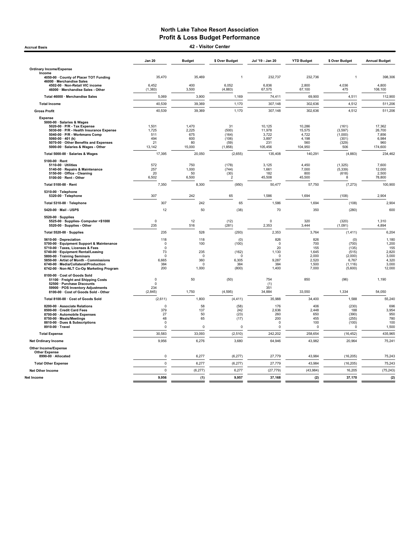Accrual Basis 42 - Visitor Center

|                                                                                                                                                                                                                                                                                                               | <b>Jan 20</b>                                                          | <b>Budget</b>                                             | \$ Over Budget                                             | Jul '19 - Jan 20                                                    | <b>YTD Budget</b>                                              | \$ Over Budget                                                            | <b>Annual Budget</b>                                                |
|---------------------------------------------------------------------------------------------------------------------------------------------------------------------------------------------------------------------------------------------------------------------------------------------------------------|------------------------------------------------------------------------|-----------------------------------------------------------|------------------------------------------------------------|---------------------------------------------------------------------|----------------------------------------------------------------|---------------------------------------------------------------------------|---------------------------------------------------------------------|
| <b>Ordinary Income/Expense</b>                                                                                                                                                                                                                                                                                |                                                                        |                                                           |                                                            |                                                                     |                                                                |                                                                           |                                                                     |
| Income<br>4050-00 · County of Placer TOT Funding                                                                                                                                                                                                                                                              | 35,470                                                                 | 35,469                                                    | $\overline{1}$                                             | 232,737                                                             | 232,736                                                        | 1                                                                         | 398,306                                                             |
| 46000 · Merchandise Sales                                                                                                                                                                                                                                                                                     |                                                                        |                                                           |                                                            |                                                                     |                                                                |                                                                           |                                                                     |
| 4502-00 · Non-Retail VIC income<br>46000 · Merchandise Sales - Other                                                                                                                                                                                                                                          | 6,452<br>(1, 383)                                                      | 400<br>3,500                                              | 6,052<br>(4,883)                                           | 6,836<br>67,575                                                     | 2,800<br>67,100                                                | 4,036<br>475                                                              | 4,800<br>108,100                                                    |
| Total 46000 · Merchandise Sales                                                                                                                                                                                                                                                                               | 5,069                                                                  | 3,900                                                     | 1,169                                                      | 74,411                                                              | 69,900                                                         | 4,511                                                                     | 112,900                                                             |
| <b>Total Income</b>                                                                                                                                                                                                                                                                                           | 40,539                                                                 | 39,369                                                    | 1,170                                                      | 307,148                                                             | 302,636                                                        | 4,512                                                                     | 511,206                                                             |
| <b>Gross Profit</b>                                                                                                                                                                                                                                                                                           | 40,539                                                                 | 39,369                                                    | 1,170                                                      | 307,148                                                             | 302,636                                                        | 4,512                                                                     | 511,206                                                             |
| <b>Expense</b><br>5000-00 · Salaries & Wages<br>5020-00 · P/R - Tax Expense<br>5030-00 · P/R - Health Insurance Expense<br>5040-00 · P/R - Workmans Comp<br>5060-00 $\cdot$ 401 (k)<br>5070-00 Other Benefits and Expenses<br>5000-00 · Salaries & Wages - Other                                              | 1,501<br>1,725<br>511<br>494<br>21<br>13,142                           | 1,470<br>2,225<br>675<br>600<br>80<br>15,000              | 31<br>(500)<br>(164)<br>(106)<br>(59)<br>(1,858)           | 10,125<br>11,978<br>3,722<br>3.897<br>231<br>105,456                | 10,286<br>15,575<br>4,722<br>4.198<br>560<br>104,950           | (161)<br>(3, 597)<br>(1,000)<br>(301)<br>(329)<br>506                     | 17,362<br>26,700<br>7,856<br>6,984<br>960<br>174,600                |
| Total 5000-00 · Salaries & Wages                                                                                                                                                                                                                                                                              | 17,395                                                                 | 20,050                                                    | (2,655)                                                    | 135,408                                                             | 140,291                                                        | (4,883)                                                                   | 234,462                                                             |
| 5100-00 · Rent<br>5110-00 · Utilities<br>5140-00 · Repairs & Maintenance<br>5150-00 · Office - Cleaning<br>5100-00 · Rent - Other                                                                                                                                                                             | 572<br>257<br>20<br>6,502                                              | 750<br>1,000<br>50<br>6,500                               | (178)<br>(744)<br>(30)<br>$\overline{2}$                   | 3.125<br>1,661<br>182<br>45,508                                     | 4.450<br>7,000<br>800<br>45,500                                | (1, 325)<br>(5, 339)<br>(618)<br>8                                        | 7.600<br>12,000<br>2,500<br>78,800                                  |
| Total 5100-00 · Rent                                                                                                                                                                                                                                                                                          | 7,350                                                                  | 8,300                                                     | (950)                                                      | 50,477                                                              | 57,750                                                         | (7, 273)                                                                  | 100,900                                                             |
| 5310-00 · Telephone<br>5320-00 · Telephone                                                                                                                                                                                                                                                                    | 307                                                                    | 242                                                       | 65                                                         | 1,586                                                               | 1,694                                                          | (108)                                                                     | 2,904                                                               |
| Total 5310-00 · Telephone                                                                                                                                                                                                                                                                                     | 307                                                                    | 242                                                       | 65                                                         | 1,586                                                               | 1,694                                                          | (108)                                                                     | 2,904                                                               |
| 5420-00 · Mail - USPS                                                                                                                                                                                                                                                                                         | 12                                                                     | 50                                                        | (38)                                                       | 70                                                                  | 350                                                            | (280)                                                                     | 600                                                                 |
| 5520-00 · Supplies<br>5525-00 · Supplies- Computer <\$1000<br>5520-00 · Supplies - Other                                                                                                                                                                                                                      | $\mathbf 0$<br>235                                                     | 12<br>516                                                 | (12)<br>(281)                                              | $\mathbf 0$<br>2,353                                                | 320<br>3,444                                                   | (320)<br>(1,091)                                                          | 1.310<br>4,894                                                      |
| Total 5520-00 · Supplies                                                                                                                                                                                                                                                                                      | 235                                                                    | 528                                                       | (293)                                                      | 2,353                                                               | 3,764                                                          | (1, 411)                                                                  | 6,204                                                               |
| 5610-00 · Depreciation<br>5700-00 · Equipment Support & Maintenance<br>5710-00 · Taxes. Licenses & Fees<br>5740-00 · Equipment Rental/Leasing<br>5800-00 · Training Seminars<br>5850-00 · Artist of Month - Commissions<br>6740-00 · Media/Collateral/Production<br>6742-00 · Non-NLT Co-Op Marketing Program | 118<br>$\Omega$<br>$^{\circ}$<br>73<br>$\Omega$<br>6,665<br>384<br>200 | 118<br>100<br>235<br>$\Omega$<br>360<br>$\Omega$<br>1,000 | (0)<br>(100)<br>(162)<br>$\Omega$<br>6,305<br>384<br>(800) | 826<br>$\Omega$<br>20<br>1,130<br>$\Omega$<br>9,287<br>384<br>1,400 | 826<br>700<br>155<br>1,645<br>2,000<br>2,520<br>1,500<br>7,000 | (0)<br>(700)<br>(135)<br>(515)<br>(2,000)<br>6,767<br>(1, 116)<br>(5,600) | 1,180<br>1,200<br>155<br>2,820<br>3,000<br>4,320<br>3,000<br>12,000 |
| 8100-00 · Cost of Goods Sold<br>51100 · Freight and Shipping Costs<br>52500 · Purchase Discounts<br>59900 · POS Inventory Adjustments<br>8100-00 Cost of Goods Sold - Other                                                                                                                                   | 0<br>$\Omega$<br>234<br>(2, 845)                                       | 50<br>1,750                                               | (50)<br>(4, 595)                                           | 754<br>(1)<br>351<br>34,884                                         | 850<br>33,550                                                  | (96)<br>1,334                                                             | 1,190<br>54,050                                                     |
| Total 8100-00 · Cost of Goods Sold                                                                                                                                                                                                                                                                            | (2,611)                                                                | 1,800                                                     | (4, 411)                                                   | 35,988                                                              | 34,400                                                         | 1,588                                                                     | 55,240                                                              |
| 8200-00 · Associate Relations<br>8500-00 · Credit Card Fees<br>8700-00 · Automobile Expenses<br>8750-00 · Meals/Meetings<br>8810-00 · Dues & Subscriptions<br>8910-00 · Travel                                                                                                                                | $\mathbf 0$<br>379<br>27<br>48<br>$\mathbf 0$<br>0                     | 58<br>137<br>50<br>65<br>0                                | (58)<br>242<br>(23)<br>(17)<br>$\pmb{0}$                   | 176<br>2,636<br>260<br>200<br>$\Omega$<br>0                         | 406<br>2,448<br>650<br>455<br>100<br>0                         | (230)<br>188<br>(390)<br>(255)<br>(100)<br>$\Omega$                       | 696<br>3,954<br>950<br>780<br>100<br>1,500                          |
| <b>Total Expense</b>                                                                                                                                                                                                                                                                                          | 30,583                                                                 | 33,093                                                    | (2, 510)                                                   | 242,202                                                             | 258,654                                                        | (16, 452)                                                                 | 435,965                                                             |
| <b>Net Ordinary Income</b>                                                                                                                                                                                                                                                                                    | 9,956                                                                  | 6,276                                                     | 3,680                                                      | 64,946                                                              | 43,982                                                         | 20,964                                                                    | 75,241                                                              |
| <b>Other Income/Expense</b><br><b>Other Expense</b><br>8990-00 · Allocated                                                                                                                                                                                                                                    | $\pmb{0}$                                                              | 6,277                                                     | (6, 277)                                                   | 27,779                                                              | 43,984                                                         | (16, 205)                                                                 | 75,243                                                              |
| <b>Total Other Expense</b>                                                                                                                                                                                                                                                                                    | $\mathbf{0}$                                                           | 6,277                                                     | (6, 277)                                                   | 27,779                                                              | 43,984                                                         | (16, 205)                                                                 | 75,243                                                              |
| <b>Net Other Income</b>                                                                                                                                                                                                                                                                                       | $\mathbf 0$                                                            | (6, 277)                                                  | 6,277                                                      | (27, 779)                                                           | (43,984)                                                       | 16.205                                                                    | (75, 243)                                                           |
| Net Income                                                                                                                                                                                                                                                                                                    | 9,956                                                                  | (1)                                                       | 9,957                                                      | 37,168                                                              | (2)                                                            | 37,170                                                                    | (2)                                                                 |
|                                                                                                                                                                                                                                                                                                               |                                                                        |                                                           |                                                            |                                                                     |                                                                |                                                                           |                                                                     |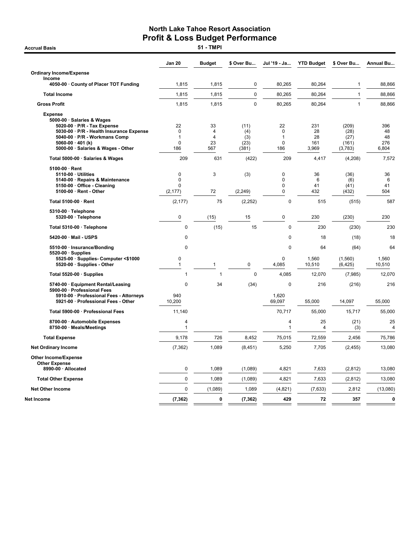**Accrual Basis** 

|                                                                                                                                                                                                         | Jan 20                             | <b>Budget</b>             | \$ Over Bu                          | Jul '19 - Ja                                 | <b>YTD Budget</b>               | \$ Over Bu                                | Annual Bu                       |
|---------------------------------------------------------------------------------------------------------------------------------------------------------------------------------------------------------|------------------------------------|---------------------------|-------------------------------------|----------------------------------------------|---------------------------------|-------------------------------------------|---------------------------------|
| <b>Ordinary Income/Expense</b>                                                                                                                                                                          |                                    |                           |                                     |                                              |                                 |                                           |                                 |
| Income<br>4050-00 County of Placer TOT Funding                                                                                                                                                          | 1,815                              | 1,815                     | $\mathbf 0$                         | 80,265                                       | 80,264                          | $\mathbf{1}$                              | 88,866                          |
| <b>Total Income</b>                                                                                                                                                                                     | 1,815                              | 1,815                     | $\mathbf 0$                         | 80,265                                       | 80,264                          | $\mathbf{1}$                              | 88,866                          |
| <b>Gross Profit</b>                                                                                                                                                                                     | 1,815                              | 1,815                     | 0                                   | 80,265                                       | 80,264                          | $\mathbf{1}$                              | 88,866                          |
| <b>Expense</b>                                                                                                                                                                                          |                                    |                           |                                     |                                              |                                 |                                           |                                 |
| 5000-00 · Salaries & Wages<br>5020-00 · P/R - Tax Expense<br>5030-00 · P/R - Health Insurance Expense<br>5040-00 · P/R - Workmans Comp<br>$5060-00 \cdot 401$ (k)<br>5000-00 · Salaries & Wages - Other | 22<br>0<br>1<br>0<br>186           | 33<br>4<br>4<br>23<br>567 | (11)<br>(4)<br>(3)<br>(23)<br>(381) | 22<br>$\mathbf 0$<br>1<br>$\mathbf 0$<br>186 | 231<br>28<br>28<br>161<br>3,969 | (209)<br>(28)<br>(27)<br>(161)<br>(3,783) | 396<br>48<br>48<br>276<br>6,804 |
| Total 5000-00 · Salaries & Wages                                                                                                                                                                        | 209                                | 631                       | (422)                               | 209                                          | 4,417                           | (4,208)                                   | 7,572                           |
| 5100-00 · Rent<br>5110-00 · Utilities<br>5140-00 · Repairs & Maintenance<br>5150-00 · Office - Cleaning<br>5100-00 · Rent - Other                                                                       | 0<br>0<br>$\mathbf{0}$<br>(2, 177) | 3<br>72                   | (3)<br>(2, 249)                     | 0<br>0<br>$\Omega$<br>0                      | 36<br>6<br>41<br>432            | (36)<br>(6)<br>(41)<br>(432)              | 36<br>6<br>41<br>504            |
| Total 5100-00 · Rent                                                                                                                                                                                    | (2, 177)                           | 75                        | (2, 252)                            | $\mathbf 0$                                  | 515                             | (515)                                     | 587                             |
| 5310-00 · Telephone<br>5320-00 · Telephone                                                                                                                                                              | 0                                  | (15)                      | 15                                  | $\mathbf 0$                                  | 230                             | (230)                                     | 230                             |
| Total 5310-00 · Telephone                                                                                                                                                                               | $\mathbf 0$                        | (15)                      | 15                                  | $\mathbf 0$                                  | 230                             | (230)                                     | 230                             |
| 5420-00 · Mail - USPS                                                                                                                                                                                   | 0                                  |                           |                                     | 0                                            | 18                              | (18)                                      | 18                              |
| 5510-00 · Insurance/Bonding                                                                                                                                                                             | $\mathbf 0$                        |                           |                                     | $\Omega$                                     | 64                              | (64)                                      | 64                              |
| $5520-00 \cdot$ Supplies<br>5525-00 · Supplies- Computer <\$1000<br>5520-00 · Supplies - Other                                                                                                          | 0<br>$\mathbf{1}$                  | $\mathbf{1}$              | 0                                   | $\mathbf 0$<br>4,085                         | 1,560<br>10,510                 | (1,560)<br>(6, 425)                       | 1,560<br>10,510                 |
| Total 5520-00 · Supplies                                                                                                                                                                                | $\mathbf{1}$                       | 1                         | $\mathbf 0$                         | 4,085                                        | 12,070                          | (7,985)                                   | 12,070                          |
| 5740-00 · Equipment Rental/Leasing                                                                                                                                                                      | 0                                  | 34                        | (34)                                | $\mathbf 0$                                  | 216                             | (216)                                     | 216                             |
| 5900-00 · Professional Fees<br>5910-00 · Professional Fees - Attorneys<br>5921-00 · Professional Fees - Other                                                                                           | 940<br>10,200                      |                           |                                     | 1,620<br>69,097                              | 55,000                          | 14,097                                    | 55,000                          |
| Total 5900-00 · Professional Fees                                                                                                                                                                       | 11,140                             |                           |                                     | 70.717                                       | 55,000                          | 15.717                                    | 55,000                          |
| 8700-00 · Automobile Expenses<br>8750-00 · Meals/Meetings                                                                                                                                               | 4<br>$\mathbf{1}$                  |                           |                                     | $\overline{4}$<br>$\mathbf{1}$               | 25<br>4                         | (21)<br>(3)                               | 25<br>4                         |
| <b>Total Expense</b>                                                                                                                                                                                    | 9,178                              | 726                       | 8,452                               | 75,015                                       | 72,559                          | 2,456                                     | 75,786                          |
| <b>Net Ordinary Income</b>                                                                                                                                                                              | (7, 362)                           | 1,089                     | (8, 451)                            | 5,250                                        | 7,705                           | (2, 455)                                  | 13,080                          |
| <b>Other Income/Expense</b><br><b>Other Expense</b>                                                                                                                                                     |                                    |                           |                                     |                                              |                                 |                                           |                                 |
| 8990-00 · Allocated                                                                                                                                                                                     | $\mathbf 0$                        | 1.089                     | (1,089)                             | 4.821                                        | 7,633                           | (2,812)                                   | 13,080                          |
| <b>Total Other Expense</b>                                                                                                                                                                              | $\pmb{0}$                          | 1,089                     | (1,089)                             | 4,821                                        | 7,633                           | (2,812)                                   | 13,080                          |
| <b>Net Other Income</b>                                                                                                                                                                                 | $\mathbf 0$                        | (1,089)                   | 1,089                               | (4,821)                                      | (7,633)                         | 2,812                                     | (13,080)                        |
| Net Income                                                                                                                                                                                              | (7, 362)                           | 0                         | (7, 362)                            | 429                                          | 72                              | 357                                       | 0                               |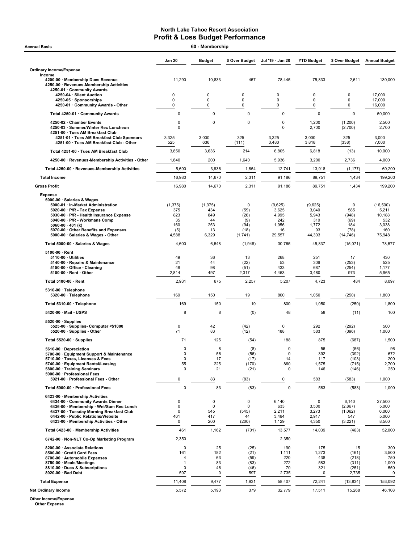| 60 - Membership<br><b>Accrual Basis</b>                                                                                                                                                                                                                          |                                                     |                                                    |                                                     |                                                           |                                                           |                                                   |                                                               |  |
|------------------------------------------------------------------------------------------------------------------------------------------------------------------------------------------------------------------------------------------------------------------|-----------------------------------------------------|----------------------------------------------------|-----------------------------------------------------|-----------------------------------------------------------|-----------------------------------------------------------|---------------------------------------------------|---------------------------------------------------------------|--|
|                                                                                                                                                                                                                                                                  | <b>Jan 20</b>                                       | <b>Budget</b>                                      | \$ Over Budget                                      | Jul '19 - Jan 20                                          | <b>YTD Budget</b>                                         | \$ Over Budget                                    | <b>Annual Budget</b>                                          |  |
| <b>Ordinary Income/Expense</b>                                                                                                                                                                                                                                   |                                                     |                                                    |                                                     |                                                           |                                                           |                                                   |                                                               |  |
| Income<br>4200-00 · Membership Dues Revenue<br>4250-00 · Revenues-Membership Activities<br>4250-01 · Community Awards                                                                                                                                            | 11,290                                              | 10,833                                             | 457                                                 | 78,445                                                    | 75,833                                                    | 2,611                                             | 130,000                                                       |  |
| 4250-04 · Silent Auction<br>4250-05 · Sponsorships<br>4250-01 · Community Awards - Other                                                                                                                                                                         | 0<br>$\mathbf 0$<br>0                               | 0<br>0<br>0                                        | $\mathbf 0$<br>$\mathbf 0$<br>0                     | 0<br>$\mathbf 0$<br>0                                     | 0<br>0<br>0                                               | 0<br>0<br>0                                       | 17,000<br>17,000<br>16,000                                    |  |
| Total 4250-01 · Community Awards                                                                                                                                                                                                                                 | $\mathbf 0$                                         | $\mathbf 0$                                        | $\pmb{0}$                                           | 0                                                         | 0                                                         | $\mathbf 0$                                       | 50,000                                                        |  |
| 4250-02 · Chamber Events<br>4250-03 · Summer/Winter Rec Luncheon<br>4251-00 · Tues AM Breakfast Club                                                                                                                                                             | 0<br>$\mathbf 0$                                    | 0                                                  | 0                                                   | 0<br>0                                                    | 1,200<br>2,700                                            | (1,200)<br>(2,700)                                | 2,500<br>2,700                                                |  |
| 4251-01 · Tues AM Breakfast Club Sponsors<br>4251-00 · Tues AM Breakfast Club - Other                                                                                                                                                                            | 3,325<br>525                                        | 3,000<br>636                                       | 325<br>(111)                                        | 3,325<br>3,480                                            | 3,000<br>3,818                                            | 325<br>(338)                                      | 3,000<br>7,000                                                |  |
| Total 4251-00 · Tues AM Breakfast Club                                                                                                                                                                                                                           | 3,850                                               | 3,636                                              | 214                                                 | 6,805                                                     | 6,818                                                     | (13)                                              | 10,000                                                        |  |
| 4250-00 · Revenues-Membership Activities - Other                                                                                                                                                                                                                 | 1,840                                               | 200                                                | 1,640                                               | 5,936                                                     | 3,200                                                     | 2,736                                             | 4,000                                                         |  |
| Total 4250-00 · Revenues-Membership Activities                                                                                                                                                                                                                   | 5,690                                               | 3,836                                              | 1,854                                               | 12,741                                                    | 13,918                                                    | (1, 177)                                          | 69,200                                                        |  |
| <b>Total Income</b>                                                                                                                                                                                                                                              | 16,980                                              | 14,670                                             | 2,311                                               | 91,186                                                    | 89,751                                                    | 1,434                                             | 199,200                                                       |  |
| <b>Gross Profit</b>                                                                                                                                                                                                                                              | 16,980                                              | 14,670                                             | 2,311                                               | 91,186                                                    | 89,751                                                    | 1,434                                             | 199,200                                                       |  |
| <b>Expense</b><br>5000-00 · Salaries & Wages<br>5000-01 · In-Market Administration<br>5020-00 · P/R - Tax Expense<br>5030-00 · P/R - Health Insurance Expense<br>5040-00 · P/R - Workmans Comp<br>5060-00 $\cdot$ 401 (k)<br>5070-00 Other Benefits and Expenses | (1, 375)<br>375<br>823<br>35<br>160<br>(5)<br>4,588 | (1, 375)<br>434<br>849<br>44<br>253<br>13<br>6,329 | 0<br>(59)<br>(26)<br>(9)<br>(94)<br>(18)<br>(1,741) | (9,625)<br>3,625<br>4,995<br>242<br>1,956<br>16<br>29,557 | (9,625)<br>3,040<br>5,943<br>310<br>1,772<br>93<br>44,303 | 0<br>585<br>(948)<br>(69)<br>184<br>(78)          | (16, 500)<br>5,211<br>10,188<br>532<br>3,038<br>160<br>75,948 |  |
| 5000-00 · Salaries & Wages - Other                                                                                                                                                                                                                               | 4,600                                               | 6,548                                              | (1,948)                                             | 30,765                                                    | 45,837                                                    | (14, 746)<br>(15,071)                             | 78,577                                                        |  |
| Total 5000-00 · Salaries & Wages                                                                                                                                                                                                                                 |                                                     |                                                    |                                                     |                                                           |                                                           |                                                   |                                                               |  |
| $5100-00 \cdot$ Rent<br>5110-00 · Utilities<br>5140-00 · Repairs & Maintenance<br>5150-00 · Office - Cleaning<br>5100-00 · Rent - Other                                                                                                                          | 49<br>21<br>48<br>2,814                             | 36<br>44<br>98<br>497                              | 13<br>(22)<br>(51)<br>2,317                         | 268<br>53<br>433<br>4,453                                 | 251<br>306<br>687<br>3,480                                | 17<br>(253)<br>(254)<br>973                       | 430<br>525<br>1,177<br>5,965                                  |  |
| Total 5100-00 · Rent                                                                                                                                                                                                                                             | 2,931                                               | 675                                                | 2,257                                               | 5,207                                                     | 4,723                                                     | 484                                               | 8,097                                                         |  |
| $5310-00 \cdot$ Telephone<br>5320-00 · Telephone                                                                                                                                                                                                                 | 169                                                 | 150                                                | 19                                                  | 800                                                       | 1,050                                                     | (250)                                             | 1,800                                                         |  |
| Total 5310-00 · Telephone                                                                                                                                                                                                                                        | 169                                                 | 150                                                | 19                                                  | 800                                                       | 1,050                                                     | (250)                                             | 1,800                                                         |  |
| 5420-00 Mail - USPS                                                                                                                                                                                                                                              | 8                                                   | 8                                                  | (0)                                                 | 48                                                        | 58                                                        | (11)                                              | 100                                                           |  |
| $5520-00 \cdot$ Supplies<br>5525-00 · Supplies Computer <\$1000<br>5520-00 · Supplies - Other                                                                                                                                                                    | 0<br>71                                             | 42<br>83                                           | (42)<br>(12)                                        | $\mathbf 0$<br>188                                        | 292<br>583                                                | (292)<br>(396)                                    | 500<br>1,000                                                  |  |
| Total 5520-00 · Supplies                                                                                                                                                                                                                                         | 71                                                  | 125                                                | (54)                                                | 188                                                       | 875                                                       | (687)                                             | 1,500                                                         |  |
| 5610-00 Depreciation<br>5700-00 · Equipment Support & Maintenance<br>5710-00 · Taxes, Licenses & Fees<br>5740-00 · Equipment Rental/Leasing<br>5800-00 · Training Seminars<br>5900-00 · Professional Fees<br>5921-00 · Professional Fees - Other                 | 0<br>0<br>$\mathbf 0$<br>55<br>$\mathbf 0$<br>0     | 8<br>56<br>17<br>225<br>21<br>83                   | (8)<br>(56)<br>(17)<br>(170)<br>(21)<br>(83)        | 0<br>$\pmb{0}$<br>14<br>860<br>0<br>0                     | 56<br>392<br>117<br>1,575<br>146<br>583                   | (56)<br>(392)<br>(103)<br>(715)<br>(146)<br>(583) | 96<br>672<br>200<br>2,700<br>250<br>1,000                     |  |
| Total 5900-00 · Professional Fees                                                                                                                                                                                                                                | $\mathbf 0$                                         | 83                                                 | (83)                                                | $\mathbf 0$                                               | 583                                                       | (583)                                             | 1,000                                                         |  |
| 6423-00 · Membership Activities<br>6434-00 Community Awards Dinner                                                                                                                                                                                               | 0                                                   | 0                                                  | 0                                                   | 6,140                                                     | 0                                                         | 6,140                                             | 27,500                                                        |  |
| 6436-00 · Membership - Wnt/Sum Rec Lunch<br>6437-00 · Tuesday Morning Breakfast Club<br>6442-00 · Public Relations/Website<br>6423-00 · Membership Activities - Other                                                                                            | $\mathbf 0$<br>0<br>461<br>0                        | $\mathbf 0$<br>545<br>417<br>200                   | 0<br>(545)<br>44<br>(200)                           | 633<br>2,211<br>3,464<br>1,129                            | 3,500<br>3,273<br>2,917<br>4,350                          | (2,867)<br>(1,062)<br>547<br>(3,221)              | 5,000<br>6,000<br>5,000<br>8,500                              |  |
| Total 6423-00 · Membership Activities                                                                                                                                                                                                                            | 461                                                 | 1,162                                              | (701)                                               | 13,577                                                    | 14,039                                                    | (463)                                             | 52,000                                                        |  |
| 6742-00 · Non-NLT Co-Op Marketing Program                                                                                                                                                                                                                        | 2,350                                               |                                                    |                                                     | 2,350                                                     |                                                           |                                                   |                                                               |  |
| 8200-00 · Associate Relations<br>8500-00 · Credit Card Fees<br>8700-00 · Automobile Expenses<br>8750-00 · Meals/Meetings<br>8810-00 · Dues & Subscriptions<br>8920-00 · Bad Debt                                                                                 | 0<br>161<br>4<br>$\mathbf{1}$<br>0<br>597           | 25<br>182<br>63<br>83<br>46<br>0                   | (25)<br>(21)<br>(59)<br>(83)<br>(46)<br>597         | 190<br>1,111<br>220<br>272<br>70<br>2,735                 | 175<br>1,273<br>438<br>583<br>321<br>0                    | 15<br>(161)<br>(218)<br>(311)<br>(251)<br>2,735   | 300<br>3,500<br>750<br>1,000<br>550<br>0                      |  |
| <b>Total Expense</b>                                                                                                                                                                                                                                             | 11,408                                              | 9,477                                              | 1,931                                               | 58,407                                                    | 72,241                                                    | (13, 834)                                         | 153,092                                                       |  |
| <b>Net Ordinary Income</b>                                                                                                                                                                                                                                       | 5,572                                               | 5,193                                              | 379                                                 | 32,779                                                    | 17,511                                                    | 15,268                                            | 46,108                                                        |  |

Other Income/Expense Other Expense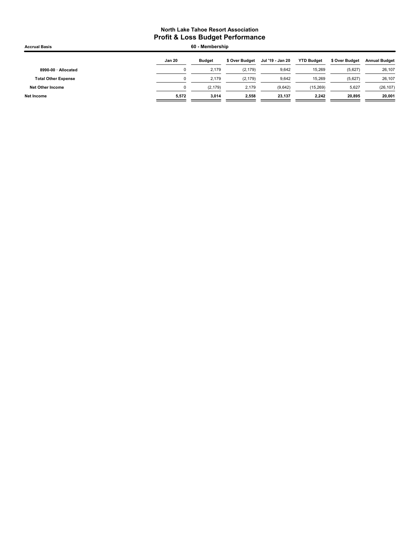| <b>Accrual Basis</b>       |               | 60 - Membership |                |                  |                   |                |                      |
|----------------------------|---------------|-----------------|----------------|------------------|-------------------|----------------|----------------------|
|                            | <b>Jan 20</b> | <b>Budget</b>   | \$ Over Budget | Jul '19 - Jan 20 | <b>YTD Budget</b> | \$ Over Budget | <b>Annual Budget</b> |
| 8990-00 · Allocated        | 0             | 2.179           | (2, 179)       | 9,642            | 15,269            | (5,627)        | 26,107               |
| <b>Total Other Expense</b> | 0             | 2.179           | (2, 179)       | 9,642            | 15,269            | (5,627)        | 26,107               |
| Net Other Income           | 0             | (2, 179)        | 2,179          | (9,642)          | (15, 269)         | 5,627          | (26, 107)            |
| Net Income                 | 5,572         | 3.014           | 2.558          | 23.137           | 2,242             | 20.895         | 20,001               |